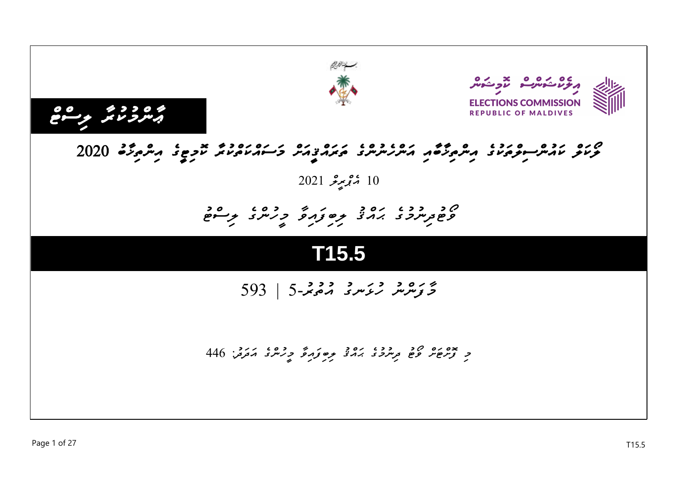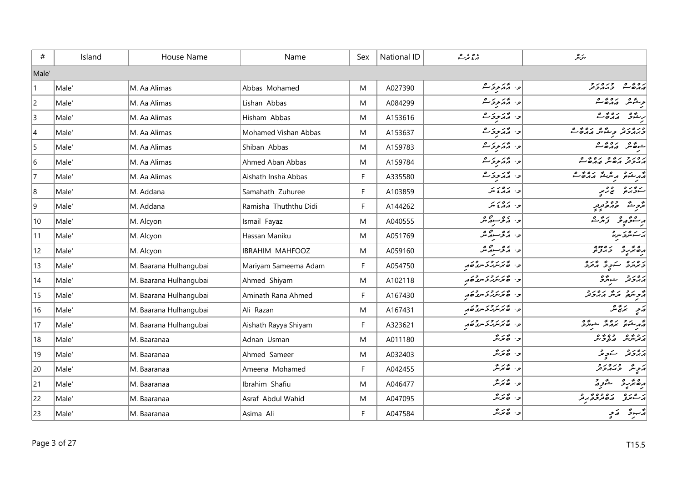| #              | Island | House Name             | Name                   | Sex       | National ID | ، ه ، بر <u>م</u>             | ىئرىتر                                  |
|----------------|--------|------------------------|------------------------|-----------|-------------|-------------------------------|-----------------------------------------|
| Male'          |        |                        |                        |           |             |                               |                                         |
|                | Male'  | M. Aa Alimas           | Abbas Mohamed          | M         | A027390     | ە ئەتمەنزۇپ                   | و ره ر و<br>تر پروتر<br>رەپچە           |
| $\overline{2}$ | Male'  | M. Aa Alimas           | Lishan Abbas           | M         | A084299     | د به تړنو ځرگ                 | ىرىشىر مەمۇب                            |
| $\vert$ 3      | Male'  | M. Aa Alimas           | Hisham Abbas           | ${\sf M}$ | A153616     | د به تهر د د ک                | رشۇق بەرگەش                             |
| $\vert 4$      | Male'  | M. Aa Alimas           | Mohamed Vishan Abbas   | ${\sf M}$ | A153637     | د . أما أمر كر ك              | ورەر د مەم رەپرە                        |
| $\overline{5}$ | Male'  | M. Aa Alimas           | Shiban Abbas           | ${\sf M}$ | A159783     | د بر ترکرد م                  | 250/25                                  |
| $\overline{6}$ | Male'  | M. Aa Alimas           | Ahmed Aban Abbas       | ${\sf M}$ | A159784     | د . أنه ترد ك                 |                                         |
| $\overline{7}$ | Male'  | M. Aa Alimas           | Aishath Insha Abbas    | F         | A335580     | د . اړام پروگ                 | وأرشكم وسرشة وأرقام                     |
| 8              | Male'  | M. Addana              | Samahath Zuhuree       | F         | A103859     | د . م. د کار                  | كەن ئەربىر بور                          |
| 9              | Male'  | M. Addana              | Ramisha Thuththu Didi  | F         | A144262     | د . م.م. ش                    | ر<br>برگرمنگ مهم مهرم                   |
| 10             | Male'  | M. Alcyon              | Ismail Fayaz           | ${\sf M}$ | A040555     | د . گەفرىسى <i>رگى</i> ر      | بر شۇم بۇ بۇيرى                         |
| 11             | Male'  | M. Alcyon              | Hassan Maniku          | ${\sf M}$ | A051769     | <sub>ى م</sub> ۇسىرە تۈر      | ىر سەھەر سەرى <sub>م</sub>              |
| 12             | Male'  | M. Alcyon              | <b>IBRAHIM MAHFOOZ</b> | ${\sf M}$ | A059160     | ر ، م <sup>و</sup> کر په په پ | ده ندره ده ده.<br>د هنگرد د بروه        |
| 13             | Male'  | M. Baarana Hulhangubai | Mariyam Sameema Adam   | F         | A054750     | בי שיניינג ליינג שת           | د ۱۵ د و څه پره                         |
| 14             | Male'  | M. Baarana Hulhangubai | Ahmed Shiyam           | M         | A102118     | و . ځمه مرکز مرکز خوړ         | أرور ومشوقه                             |
| 15             | Male'  | M. Baarana Hulhangubai | Aminath Rana Ahmed     | F         | A167430     | وستحميز مركز مردحه            | محر شرق المراكب والمراكب                |
| 16             | Male'  | M. Baarana Hulhangubai | Ali Razan              | M         | A167431     | ב מיציע צייע מ                | ړې پرځ شر                               |
| 17             | Male'  | M. Baarana Hulhangubai | Aishath Rayya Shiyam   | F         | A323621     | و په مرکز کرده ده د           | התיים החת ייתכ                          |
| 18             | Male'  | M. Baaranaa            | Adnan Usman            | ${\sf M}$ | A011180     | د . ځه تر تر                  | ر و می و و و می<br>مرتر شرید می می شر   |
| 19             | Male'  | M. Baaranaa            | Ahmed Sameer           | M         | A032403     | ى بە ئەير<br>س                | رەرو سەچە                               |
| 20             | Male'  | M. Baaranaa            | Ameena Mohamed         | F         | A042455     | ى بە ئەس<br>سىسىتىسى          | أرَوِيدٌ ورودو                          |
| 21             | Male'  | M. Baaranaa            | Ibrahim Shafiu         | M         | A046477     | د · ځمخه تنگ                  | رە ئەر ئۇرۇ                             |
| 22             | Male'  | M. Baaranaa            | Asraf Abdul Wahid      | ${\sf M}$ | A047095     | ە بە ئەيتر                    | ەسىسىر<br>ر ٥ ٥ ٥ ٥ ٠<br>د ۵ ترتره برتر |
| 23             | Male'  | M. Baaranaa            | Asima Ali              | F         | A047584     | ى بە ئەيمەتىر<br>مەسىرىلىق    | ومبادق وكمع                             |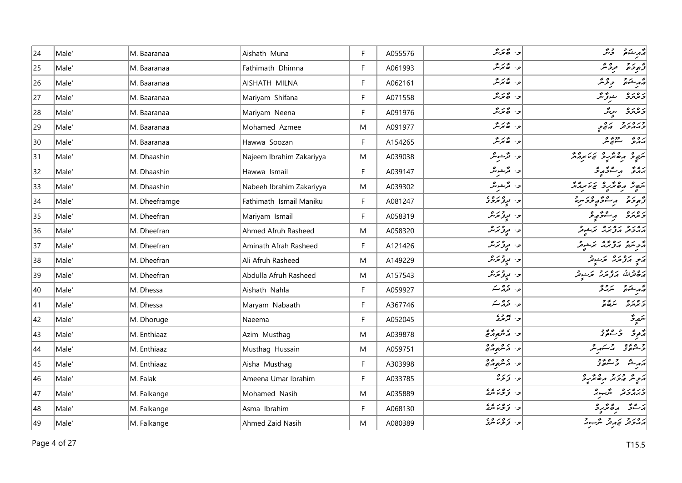| 24 | Male' | M. Baaranaa   | Aishath Muna             | F         | A055576 | ح التحصير مثل                 |                                       |
|----|-------|---------------|--------------------------|-----------|---------|-------------------------------|---------------------------------------|
| 25 | Male' | M. Baaranaa   | Fathimath Dhimna         | F         | A061993 | ى بە ئەتەر<br>س               | أوالمحافظ المرافانس                   |
| 26 | Male' | M. Baaranaa   | AISHATH MILNA            | F         | A062161 | و په څمه تر                   | مەشكە دۇنى                            |
| 27 | Male' | M. Baaranaa   | Mariyam Shifana          | F         | A071558 | و په څمړنگر                   | ر ه ر ه<br>د بربرگ<br>ىشوقر تىگر      |
| 28 | Male' | M. Baaranaa   | Mariyam Neena            | F         | A091976 | ى بە ئەسىر<br>س               | سریٹر<br>ر ه ر ه<br>د بربرو           |
| 29 | Male' | M. Baaranaa   | Mohamed Azmee            | ${\sf M}$ | A091977 | ى بە ئەسىر<br>س               | وره دو ده                             |
| 30 | Male' | M. Baaranaa   | Hawwa Soozan             | F         | A154265 | ە بە ئەتەر<br>مەسىرىلىر       | رەپ دوم و                             |
| 31 | Male' | M. Dhaashin   | Najeem Ibrahim Zakariyya | ${\sf M}$ | A039038 | <br> د· مَرْسومر              | يتوج معترج تمنيه                      |
| 32 | Male' | M. Dhaashin   | Hawwa Ismail             | F         | A039147 | <br> د· مرَّىشومَّر           |                                       |
| 33 | Male' | M. Dhaashin   | Nabeeh Ibrahim Zakariyya | ${\sf M}$ | A039302 | و. قُرْھوسُر                  |                                       |
| 34 | Male' | M. Dheeframge | Fathimath Ismail Maniku  | F         | A081247 | و۰ مرونمبرو ،                 | توجدة وسنقو وديرة                     |
| 35 | Male' | M. Dheefran   | Mariyam Ismail           | F         | A058319 | د· موتو تر تر                 | גם גם הם ביתיב                        |
| 36 | Male' | M. Dheefran   | Ahmed Afruh Rasheed      | M         | A058320 | و په مرگرمگر                  | رەر دىرەر ئەيدىر                      |
| 37 | Male' | M. Dheefran   | Aminath Afrah Rasheed    | F         | A121426 | د· مِروْ بَرَسْ               | أدوسي أرومه كرجود                     |
| 38 | Male' | M. Dheefran   | Ali Afruh Rasheed        | M         | A149229 | د· مورځ ټر ټر                 | أركمي أروكرك الكرشوقر                 |
| 39 | Male' | M. Dheefran   | Abdulla Afruh Rasheed    | ${\sf M}$ | A157543 | د· مړيز ټر ټر                 | رەمدالله كەرمىد كەسوم                 |
| 40 | Male' | M. Dhessa     | Aishath Nahla            | F         | A059927 | ح به عرضه ک                   | ە ئەستىم سرىرى                        |
| 41 | Male' | M. Dhessa     | Maryam Nabaath           | F         | A367746 | ح به عرضه ک                   | ره ره دود                             |
| 42 | Male' | M. Dhoruge    | Naeema                   | F         | A052045 | د با بود د و د<br>د از توربور | سمەيە                                 |
| 43 | Male' | M. Enthiaaz   | Azim Musthag             | ${\sf M}$ | A039878 | د . مر شهور مح                | پھ خو چر<br>م<br>و ه پود<br>تر سوه تو |
| 44 | Male' | M. Enthiaaz   | Musthag Hussain          | ${\sf M}$ | A059751 |                               | و معه و مرهر                          |
| 45 | Male' | M. Enthiaaz   | Aisha Musthag            | F         | A303998 | د . مرسموری                   | بررش ومعوذ                            |
| 46 | Male' | M. Falak      | Ameena Umar Ibrahim      | F         | A033785 | د . ذَوَّدُ                   | ג'בְ יֹצְי ג'ב הַ                     |
| 47 | Male' | M. Falkange   | Mohamed Nasih            | ${\sf M}$ | A035889 | و· توفرس چې                   | ورەرو شەر                             |
| 48 | Male' | M. Falkange   | Asma Ibrahim             | F         | A068130 | وسووره وي                     |                                       |
| 49 | Male' | M. Falkange   | Ahmed Zaid Nasih         | ${\sf M}$ | A080389 | و· ۆۋىزىدى                    | رور و بر رقم مگر برد                  |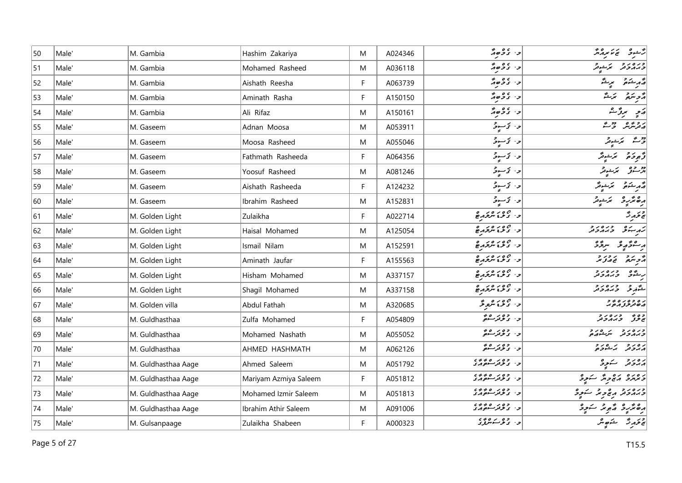| 50 | Male' | M. Gambia           | Hashim Zakariya       | M         | A024346 | و کو وه د                                    | ئە ئەسرە بىر<br>ر شور و                     |
|----|-------|---------------------|-----------------------|-----------|---------|----------------------------------------------|---------------------------------------------|
| 51 | Male' | M. Gambia           | Mohamed Rasheed       | M         | A036118 | و· وکاههٌ                                    | ورەرو بەيدۇ.                                |
| 52 | Male' | M. Gambia           | Aishath Reesha        | F         | A063739 | و· وکاههٌ                                    | و گرمشو گر<br>م<br>ىرىگە<br>ئ               |
| 53 | Male' | M. Gambia           | Aminath Rasha         | F         | A150150 | ر ، وه ه<br>د ۰ د ده گ                       | أزحر سرة<br>ىرىش                            |
| 54 | Male' | M. Gambia           | Ali Rifaz             | M         | A150161 | ر ، وه ه<br>د ۰ د ده گ                       | ە ئەرگەشى بەرگەن ئىسىمى بەلگەن.<br>مەنبە    |
| 55 | Male' | M. Gaseem           | Adnan Moosa           | M         | A053911 | و، تخ سووٌ                                   | كەفرىترىش جەمئە                             |
| 56 | Male' | M. Gaseem           | Moosa Rasheed         | M         | A055046 | و٠ تخ سورٌ                                   | وحرثته الكركسوفر                            |
| 57 | Male' | M. Gaseem           | Fathmath Rasheeda     | F         | A064356 | و، تخ <sup>م</sup> سوژ                       | وَجوحَا حَمْ سَمِيعَ وَ                     |
| 58 | Male' | M. Gaseem           | Yoosuf Rasheed        | M         | A081246 | و· تخ سودٌ                                   | دد بره<br>در سور<br>بترشدقر                 |
| 59 | Male' | M. Gaseem           | Aishath Rasheeda      | F         | A124232 | وستخ سوقر                                    | مەر شىم كى كىرىدىگر                         |
| 60 | Male' | M. Gaseem           | Ibrahim Rasheed       | M         | A152831 | وستخ سوقر                                    | ە ھەترىرى<br>برھەترىرى<br>بمرشوقر           |
| 61 | Male' | M. Golden Light     | Zulaikha              | F         | A022714 | ە ئەمەمەدە ئەھرىي<br>ئەرىخىي ئىرى <i>خەم</i> | ة ئەرتر<br>پى ئىرىرىش                       |
| 62 | Male' | M. Golden Light     | Haisal Mohamed        | ${\sf M}$ | A125054 | ە ئەرەبەر ھەر                                | ىر بەسكەنتى<br>و ره ر و<br><i>د ب</i> رگرفر |
| 63 | Male' | M. Golden Light     | Ismail Nilam          | M         | A152591 | ر موج مر <i>وکر</i> ه<br>د کال مرکز          | وستوصفح<br>سربۇر                            |
| 64 | Male' | M. Golden Light     | Aminath Jaufar        | F         | A155563 | ە دەرەر ە<br><del>د</del> ئىمى ئىمى ئىمى كى  | أروسرو دودو                                 |
| 65 | Male' | M. Golden Light     | Hisham Mohamed        | M         | A337157 | - می ده در ه                                 | رشەھ دىرەرد                                 |
| 66 | Male' | M. Golden Light     | Shagil Mohamed        | M         | A337158 | - جوء مرزمو                                  | شَہْرِ 35,000                               |
| 67 | Male' | M. Golden villa     | Abdul Fathah          | M         | A320685 | - جوړې شوېڅه                                 | ر ه د ه ر ه د و<br>پره تر پر تر پر          |
| 68 | Male' | M. Guldhasthaa      | Zulfa Mohamed         | F         | A054809 | و . و و در ه ه<br>و . و توتر سوه             | و ره ر و<br>تر پروتر<br>و ه و.<br>بح تر تر  |
| 69 | Male' | M. Guldhasthaa      | Mohamed Nashath       | M         | A055052 | وه د وه.<br>و۰ کالموتور شخصي                 | و ر ه ر و<br>تر پر تر تر<br>سرشوره          |
| 70 | Male' | M. Guldhasthaa      | AHMED HASHMATH        | ${\sf M}$ | A062126 | و و و ر ه ه<br>و و توتر سعي                  | رەرد برخور                                  |
| 71 | Male' | M. Guldhasthaa Aage | Ahmed Saleem          | M         | A051792 | و ، وه در ه ه د د ،<br>و · د نوتر سوه د د    | رەر دىرە                                    |
| 72 | Male' | M. Guldhasthaa Aage | Mariyam Azmiya Saleem | F         | A051812 | و ، وه د ه ه د د .<br>و · د نوتر سوه د د     | גובת השקת התפ                               |
| 73 | Male' | M. Guldhasthaa Aage | Mohamed Izmir Saleem  | ${\sf M}$ | A051813 | وه بر ه پوره<br>و۰ ک <b>وتر ش</b> موړۍ       | בגבלב בשקב בת                               |
| 74 | Male' | M. Guldhasthaa Aage | Ibrahim Athir Saleem  | M         | A091006 | وه بر ه پوره<br>و۰ ک <b>وتر ش</b> موړۍ       | رەتمرىرى ئەبوتى سەرپى                       |
| 75 | Male' | M. Gulsanpaage      | Zulaikha Shabeen      | F         | A000323 | د . د و په ده و ،                            | تم تكرير تشكي من المحمد السياسي             |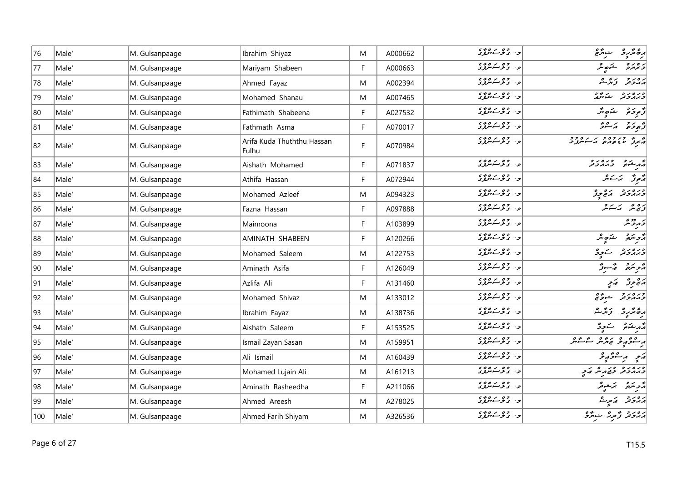| 76  | Male' | M. Gulsanpaage | Ibrahim Shiyaz                      | M         | A000662 | د . د وب مروء ،<br>د . د نو سکورۍ      | أرە ئۆر ئىستىم                                       |
|-----|-------|----------------|-------------------------------------|-----------|---------|----------------------------------------|------------------------------------------------------|
| 77  | Male' | M. Gulsanpaage | Mariyam Shabeen                     | F         | A000663 | د . د و په ده و ،<br>د . د نو په مرو د | أومهروا الشوصر                                       |
| 78  | Male' | M. Gulsanpaage | Ahmed Fayaz                         | ${\sf M}$ | A002394 | و . وه په موړه و                       | أبرەر دېر ئەر                                        |
| 79  | Male' | M. Gulsanpaage | Mohamed Shanau                      | M         | A007465 | د . وه په ده و،                        | ورەرو شەھر                                           |
| 80  | Male' | M. Gulsanpaage | Fathimath Shabeena                  | F         | A027532 | و. ووسەمبۇر                            | توجو منوس                                            |
| 81  | Male' | M. Gulsanpaage | Fathmath Asma                       | F         | A070017 | و . وه په دوه و ،                      | توجوجو المراحيح                                      |
| 82  | Male' | M. Gulsanpaage | Arifa Kuda Thuththu Hassan<br>Fulhu | F         | A070984 | د . د و په ده و ،                      | <i>په د دوه د دوود</i><br>م <i>ګر</i> ز سومه د کرکرد |
| 83  | Male' | M. Gulsanpaage | Aishath Mohamed                     | F         | A071837 | د . د و په ده د ،                      | و دره دره دره<br>مرد شوی و <i>بر</i> دونر            |
| 84  | Male' | M. Gulsanpaage | Athifa Hassan                       | F         | A072944 | د . وه په ده و ،<br>د . د نو پسرو د    | ۇھ بۇ ئەسىس                                          |
| 85  | Male' | M. Gulsanpaage | Mohamed Azleef                      | M         | A094323 | د . وه په ده و ،<br>د . د نو پسرو د    | ورەرو رەرو                                           |
| 86  | Male' | M. Gulsanpaage | Fazna Hassan                        | F         | A097888 | و . وه شوه ده و ،                      | توج مگر ایر کے مگر                                   |
| 87  | Male' | M. Gulsanpaage | Maimoona                            | F         | A103899 | و . وو پەرەپ ،                         | دېرونتر                                              |
| 88  | Male' | M. Gulsanpaage | AMINATH SHABEEN                     | F         | A120266 | د . د و په ده و ،                      | أروسكم فسكوس                                         |
| 89  | Male' | M. Gulsanpaage | Mohamed Saleem                      | M         | A122753 | و . ووست پروه .                        | ورەرو سەرو                                           |
| 90  | Male' | M. Gulsanpaage | Aminath Asifa                       | F         | A126049 | د . وه پره د ،                         | أزجر سنتعر أتأسبون                                   |
| 91  | Male' | M. Gulsanpaage | Azlifa Ali                          | F         | A131460 | و . وو شاه ده و ،                      | أرَجْعِرْدٌ أَرَمْحٍ                                 |
| 92  | Male' | M. Gulsanpaage | Mohamed Shivaz                      | M         | A133012 | د . وو پەھ دى.                         | ورەرو ئەۋە<br><i>دىدە</i> ردىر ئىوتۇنج               |
| 93  | Male' | M. Gulsanpaage | Ibrahim Fayaz                       | ${\sf M}$ | A138736 | و . وه شرعرو <i>و .</i>                | أرەنزىر زۇت                                          |
| 94  | Male' | M. Gulsanpaage | Aishath Saleem                      | F         | A153525 | د . د وب مروء ،<br>د . د نو سکورۍ      | أور مشكرة والتستعرفة                                 |
| 95  | Male' | M. Gulsanpaage | Ismail Zayan Sasan                  | ${\sf M}$ | A159951 | د . وه په ده و ،<br>د . د نو پسرو د    | أرەم ئەرەب ئەرگەر ئەسەس                              |
| 96  | Male' | M. Gulsanpaage | Ali Ismail                          | ${\sf M}$ | A160439 | د . د و په ده و ،                      | أتمو برجوحيوفر                                       |
| 97  | Male' | M. Gulsanpaage | Mohamed Lujain Ali                  | ${\sf M}$ | A161213 | د . وه په ده و ،<br>د . د نو په مرو د  | כל הרב בשתיי הב                                      |
| 98  | Male' | M. Gulsanpaage | Aminath Rasheedha                   | F         | A211066 | و . وه په موړه و                       | أمز جر سَمَعَ مَحْمَدِ حَمَّد                        |
| 99  | Male' | M. Gulsanpaage | Ahmed Areesh                        | M         | A278025 | و . وو شره و ،<br>و . و تو شرمرتو د    | پروتر کمیتر                                          |
| 100 | Male' | M. Gulsanpaage | Ahmed Farih Shiyam                  | ${\sf M}$ | A326536 | د . د و په ده و ،                      | أرورد وتمره شورد                                     |
|     |       |                |                                     |           |         |                                        |                                                      |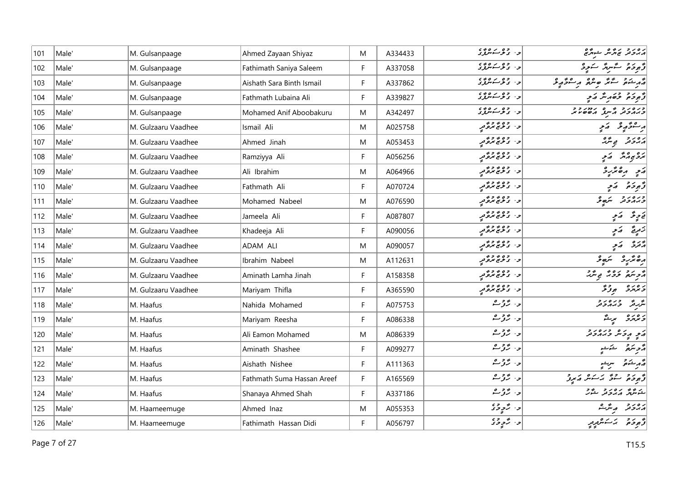| 101 | Male' | M. Gulsanpaage      | Ahmed Zayaan Shiyaz        | M           | A334433 | د وه شهره و،<br>د روسته مرور                                                                                                                                                                                                    |                                                                                                                                   |
|-----|-------|---------------------|----------------------------|-------------|---------|---------------------------------------------------------------------------------------------------------------------------------------------------------------------------------------------------------------------------------|-----------------------------------------------------------------------------------------------------------------------------------|
| 102 | Male' | M. Gulsanpaage      | Fathimath Saniya Saleem    | $\mathsf F$ | A337058 | د . د و په ۱۶۵ و د                                                                                                                                                                                                              | تۇم دە ئەسىر ئىرد                                                                                                                 |
| 103 | Male' | M. Gulsanpaage      | Aishath Sara Binth Ismail  | F.          | A337862 | وسی وصده دی                                                                                                                                                                                                                     |                                                                                                                                   |
| 104 | Male' | M. Gulsanpaage      | Fathmath Lubaina Ali       | F           | A339827 | <sub>وس</sub> ووسەھ دى                                                                                                                                                                                                          | ژوده دهرگ ړې                                                                                                                      |
| 105 | Male' | M. Gulsanpaage      | Mohamed Anif Aboobakuru    | M           | A342497 | <sub>وس</sub> وه پره وي                                                                                                                                                                                                         | כנסנכ 4 ם נחנבכ<br>במהכת היית הססטיב                                                                                              |
| 106 | Male' | M. Gulzaaru Vaadhee | Ismail Ali                 | M           | A025758 |                                                                                                                                                                                                                                 | بر شۇم ئۇ مەير                                                                                                                    |
| 107 | Male' | M. Gulzaaru Vaadhee | Ahmed Jinah                | M           | A053453 | و ، وه و و و و و .                                                                                                                                                                                                              | رەرد يې شە                                                                                                                        |
| 108 | Male' | M. Gulzaaru Vaadhee | Ramziyya Ali               | F           | A056256 | و٠ وڅونځ بروګړ                                                                                                                                                                                                                  | גם בית הב                                                                                                                         |
| 109 | Male' | M. Gulzaaru Vaadhee | Ali Ibrahim                | M           | A064966 | و ، ووړ وو.<br>و ، وڅرنځ نروګړ                                                                                                                                                                                                  | ړنو ره ټربرو                                                                                                                      |
| 110 | Male' | M. Gulzaaru Vaadhee | Fathmath Ali               | F           | A070724 | ر ده د و د و پر<br>او ۰ د نوم مردگامپر                                                                                                                                                                                          | ومجودة وكمع                                                                                                                       |
| 111 | Male' | M. Gulzaaru Vaadhee | Mohamed Nabeel             | M           | A076590 | ر ده و و و و د کليک با استفاده کليک استفاده در در استفاده کليک با استفاده کليک با کليک با کليک با استفاده کليک<br>افراد استفاده کليک با کليک با کليک با کليک با کليک با کليک با کليک با کليک با کليک با کليک با کليک با کليک با | ورەرو برەي                                                                                                                        |
| 112 | Male' | M. Gulzaaru Vaadhee | Jameela Ali                | F           | A087807 |                                                                                                                                                                                                                                 | تے پی کی پی                                                                                                                       |
| 113 | Male' | M. Gulzaaru Vaadhee | Khadeeja Ali               | F           | A090056 | و ، وو پوړو پر                                                                                                                                                                                                                  | رَمِرِيَّ مَرِ                                                                                                                    |
| 114 | Male' | M. Gulzaaru Vaadhee | <b>ADAM ALI</b>            | M           | A090057 | و ، وه و و و و.<br>و ، و و یځ مروگور                                                                                                                                                                                            | $\begin{array}{ c } \hline \rule{0pt}{5ex} & \circ & \circ & \circ \\ \hline \rule{0pt}{5ex} & \circ & \circ & \circ \end{array}$ |
| 115 | Male' | M. Gulzaaru Vaadhee | Ibrahim Nabeel             | M           | A112631 | وكومي بروتور                                                                                                                                                                                                                    | رە ئەر ئىمەن                                                                                                                      |
| 116 | Male' | M. Gulzaaru Vaadhee | Aminath Lamha Jinah        | F           | A158358 | و ، وه و و و و .<br>و · و و یځ برو د <sub>پ</sub>                                                                                                                                                                               | أأوسم ترور ويد                                                                                                                    |
| 117 | Male' | M. Gulzaaru Vaadhee | Mariyam Thifla             | F           | A365590 |                                                                                                                                                                                                                                 | وبرور ووثر                                                                                                                        |
| 118 | Male' | M. Haafus           | Nahida Mohamed             | F           | A075753 | د گۇرگە                                                                                                                                                                                                                         | بر دره دره د                                                                                                                      |
| 119 | Male' | M. Haafus           | Mariyam Reesha             | F           | A086338 | د گۇر                                                                                                                                                                                                                           | دەرە برېش                                                                                                                         |
| 120 | Male' | M. Haafus           | Ali Eamon Mohamed          | M           | A086339 | د گۇڭ                                                                                                                                                                                                                           | ג' ג'ב בנסגב                                                                                                                      |
| 121 | Male' | M. Haafus           | Aminath Shashee            | $\mathsf F$ | A099277 | ى ئۇقىش                                                                                                                                                                                                                         | أأتر سكو المسكوسية                                                                                                                |
| 122 | Male' | M. Haafus           | Aishath Nishee             | F           | A111363 | د گۇڭ                                                                                                                                                                                                                           |                                                                                                                                   |
| 123 | Male' | M. Haafus           | Fathmath Suma Hassan Areef | F           | A165569 | د . گەنۇب                                                                                                                                                                                                                       | و دو دو رعای در د                                                                                                                 |
| 124 | Male' | M. Haafus           | Shanaya Ahmed Shah         | F           | A337186 | ل <sub>ى</sub> ، ئەنى م                                                                                                                                                                                                         | شكە بەرە بەر                                                                                                                      |
| 125 | Male' | M. Haameemuge       | Ahmed Inaz                 | M           | A055353 | و٠ ر <u>گ</u> وچوي                                                                                                                                                                                                              | أرور و شرع                                                                                                                        |
| 126 | Male' | M. Haameemuge       | Fathimath Hassan Didi      | F           | A056797 | و٠ رٌوٍوءُ                                                                                                                                                                                                                      | تۇم دە ئەسەئىرىر                                                                                                                  |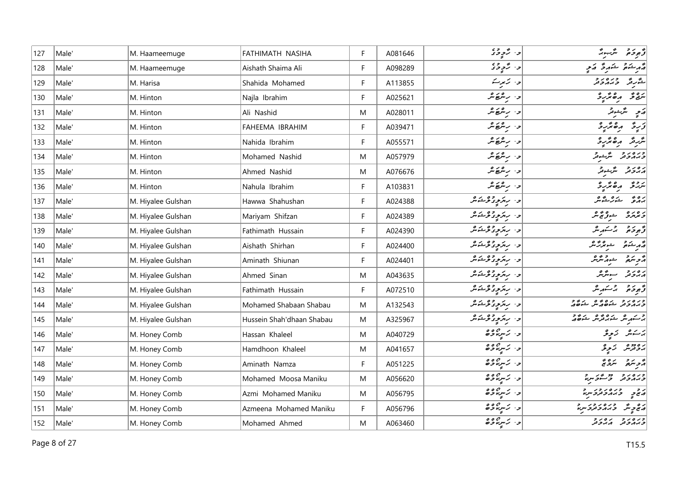| 127 | Male' | M. Haameemuge      | FATHIMATH NASIHA          | F           | A081646 | د گړوی<br>او گړوی                       | أقرجوحهم التمريبية                                      |
|-----|-------|--------------------|---------------------------|-------------|---------|-----------------------------------------|---------------------------------------------------------|
| 128 | Male' | M. Haameemuge      | Aishath Shaima Ali        | F           | A098289 | د به محووی                              | وأرخكم خررة ويم                                         |
| 129 | Male' | M. Harisa          | Shahida Mohamed           | F           | A113855 | <sub>وا</sub> کیمی <sup>س</sup> ک       | و ره ر و<br>تر پر ژنر<br>ىش <sup>ى</sup> ر بىر          |
| 130 | Male' | M. Hinton          | Najla Ibrahim             | F           | A025621 | ى بەش <sub>گ</sub> ۇش                   | يتوقى مەھترىي                                           |
| 131 | Male' | M. Hinton          | Ali Nashid                | M           | A028011 |                                         | ر<br>موسم سرد                                           |
| 132 | Male' | M. Hinton          | FAHEEMA IBRAHIM           | $\mathsf F$ | A039471 | اه بره <u>ون</u> مبر<br>—               | برە ئۆرۈ<br>  تى رِیْح                                  |
| 133 | Male' | M. Hinton          | Nahida Ibrahim            | F           | A055571 | ح <sub>' س</sub> ِ بندھ مثر             | ەرھەئرىر <sup>9</sup><br>ىتزىرقىر                       |
| 134 | Male' | M. Hinton          | Mohamed Nashid            | M           | A057979 | ح <sub>س</sub> ر سر عده شر              | ورەر د شەر<br><i>دىد</i> ەر تەشەھ                       |
| 135 | Male' | M. Hinton          | Ahmed Nashid              | M           | A076676 | د. ریڈیج نگر                            | رەر دە ئەسىر<br>مەرى ئىسىمى                             |
| 136 | Male' | M. Hinton          | Nahula Ibrahim            | $\mathsf F$ | A103831 | د· رِسْرَچَسْ                           | يروم مصريره                                             |
| 137 | Male' | M. Hiyalee Gulshan | Hawwa Shahushan           | F           | A024388 | ە <sub>س</sub> ىرىپە ئىقتىش             | ىش <i>ۇر</i> شەھر<br>برە پىر                            |
| 138 | Male' | M. Hiyalee Gulshan | Mariyam Shifzan           | F           | A024389 | <sub>ج</sub> . رېز <sub>مو</sub> چوشکر  | ىشى <i>ر ۋە ئا</i> ر<br>ر ه ر ه<br><del>ر</del> بربرگر  |
| 139 | Male' | M. Hiyalee Gulshan | Fathimath Hussain         | F           | A024390 | و٠ بەزىر ۋە ئەنگە                       | و دو چې په                                              |
| 140 | Male' | M. Hiyalee Gulshan | Aishath Shirhan           | $\mathsf F$ | A024400 | ا د . رېز د د ورځ مرگه<br>سيست          | ۇرمۇمۇسىرىرىگە                                          |
| 141 | Male' | M. Hiyalee Gulshan | Aminath Shiunan           | F           | A024401 | ە <sub>س</sub> ىرىپە ئىقتىش             | مەدىسى ئىسىر ئىر                                        |
| 142 | Male' | M. Hiyalee Gulshan | Ahmed Sinan               | M           | A043635 | <sub>ج∙ بر</sub> ېز <sub>مو</sub> چوشکر | ەرە سىرتكە                                              |
| 143 | Male' | M. Hiyalee Gulshan | Fathimath Hussain         | F.          | A072510 | وسرير مورج فرجند مل                     | أزّوجو برسور                                            |
| 144 | Male' | M. Hiyalee Gulshan | Mohamed Shabaan Shabau    | M           | A132543 | وسريز پر پوهنگ پر                       | ورەر دەردە ئەرەر<br>جەمەدىر شەھەش شەھەر                 |
| 145 | Male' | M. Hiyalee Gulshan | Hussein Shah'dhaan Shabau | M           | A325967 | ا د . رېز د د ورځندنگر<br>د . د . د     | ج کے مربعی شوہر قرمز رہے ہے۔<br> - مسکور سوہر قرمز مسلم |
| 146 | Male' | M. Honey Comb      | Hassan Khaleel            | M           | A040729 | د کېږېدوه                               | پرستانئر - زیچہ                                         |
| 147 | Male' | M. Honey Comb      | Hamdhoon Khaleel          | M           | A041657 | و· ئەبەئلاۋە                            | پرەددە تەبەبى                                           |
| 148 | Male' | M. Honey Comb      | Aminath Namza             | $\mathsf F$ | A051225 | و· ئەبەئلاۋە                            | הקיתה יופר                                              |
| 149 | Male' | M. Honey Comb      | Mohamed Moosa Maniku      | M           | A056620 | د . ئەبە <i>ناۋ</i> ۋ                   | כנסגב מישגע                                             |
| 150 | Male' | M. Honey Comb      | Azmi Mohamed Maniku       | ${\sf M}$   | A056795 | د . ئەبەئلاۋ <b>ھ</b>                   | ביפי במחכנקבית                                          |
| 151 | Male' | M. Honey Comb      | Azmeena Mohamed Maniku    | F.          | A056796 | د . ئەبە <i>ناۋ</i> ە                   | גם ביל כמחכתביתי                                        |
| 152 | Male' | M. Honey Comb      | Mohamed Ahmed             | M           | A063460 | د . ئەبەئلاۋ <b>ھ</b>                   | כנסנכ נסנכ<br>כגמכת הגבת                                |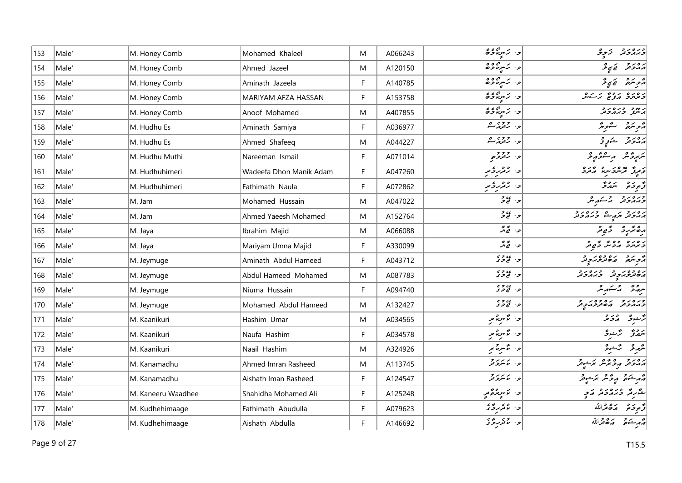| 153 | Male' | M. Honey Comb      | Mohamed Khaleel         | M           | A066243 | د . ئەبە <i>ناۋ</i> ۋ         | ورەر دېرو                           |
|-----|-------|--------------------|-------------------------|-------------|---------|-------------------------------|-------------------------------------|
| 154 | Male' | M. Honey Comb      | Ahmed Jazeel            | M           | A120150 | و· ئەيرىكى ۋە                 | پروژو کے پی                         |
| 155 | Male' | M. Honey Comb      | Aminath Jazeela         | $\mathsf F$ | A140785 | و· ئەبەبر 200                 | أُرْحِ سَمَعٌ ﴾ في يَحْ             |
| 156 | Male' | M. Honey Comb      | MARIYAM AFZA HASSAN     | F           | A153758 | و· ئەيرىكى ۋە                 | رەرە روم رىك                        |
| 157 | Male' | M. Honey Comb      | Anoof Mohamed           | M           | A407855 | و· ئەبەئلاۋە                  | ג כב כגם גב<br>ה"יטה בגהבת          |
| 158 | Male' | M. Hudhu Es        | Aminath Samiya          | $\mathsf F$ | A036977 | و . روړ ره                    | أأروبتهم ستورأ                      |
| 159 | Male' | M. Hudhu Es        | Ahmed Shafeeq           | M           | A044227 | و . روړو گ                    | رەر ئىرې                            |
| 160 | Male' | M. Hudhu Muthi     | Nareeman Ismail         | $\mathsf F$ | A071014 | و . رقوق مح                   | ىئىرگە مەشگەر                       |
| 161 | Male' | M. Hudhuhimeri     | Wadeefa Dhon Manik Adam | F           | A047260 | <mark>و، رٿورگ</mark> ير      | وترو بره دره وره                    |
| 162 | Male' | M. Hudhuhimeri     | Fathimath Naula         | F           | A072862 | د . رقمز د کابر<br>د . رقمز ر | أزودة شرقر                          |
| 163 | Male' | M. Jam             | Mohamed Hussain         | M           | A047022 | و· قح و                       | ورەرو ورىدىگ                        |
| 164 | Male' | M. Jam             | Ahmed Yaeesh Mohamed    | M           | A152764 | و · قع و<br>و · قع و          | גם גב גם בגם גב<br>גגבת תקב בגגבת   |
| 165 | Male' | M. Jaya            | Ibrahim Majid           | M           | A066088 | و• قع اگر                     | رە ئرىر ئىمى                        |
| 166 | Male' | M. Jaya            | Mariyam Umna Majid      | $\mathsf F$ | A330099 | و• قحامرٌ                     |                                     |
| 167 | Male' | M. Jeymuge         | Aminath Abdul Hameed    | $\mathsf F$ | A043712 | ے میں و ی<br>ح• قع حر ی       | أمر مرد مردود و در د                |
| 168 | Male' | M. Jeymuge         | Abdul Hameed Mohamed    | ${\sf M}$   | A087783 | ے میں و ی<br>ح• قع حر ی       | קס פסק ברי פקסק ב<br>הסתבה בל בהחבת |
| 169 | Male' | M. Jeymuge         | Niuma Hussain           | F           | A094740 | ر بروء<br>و· قح و ی           | البروج بركتهريش                     |
| 170 | Male' | M. Jeymuge         | Mohamed Abdul Hameed    | M           | A132427 | ے میں و ی<br>ح• قع حر ی       | כנסנים נסיפים בי                    |
| 171 | Male' | M. Kaanikuri       | Hashim Umar             | M           | A034565 | د . ما مبررا مبر              | ر<br>را در المرد بر                 |
| 172 | Male' | M. Kaanikuri       | Naufa Hashim            | $\mathsf F$ | A034578 | ح المتحسن من                  | سمەتى<br>ر گرشہ و                   |
| 173 | Male' | M. Kaanikuri       | Naail Hashim            | M           | A324926 | د . ما مبررا مبر              | شرو رمنو                            |
| 174 | Male' | M. Kanamadhu       | Ahmed Imran Rasheed     | M           | A113745 | وسم سروانو                    | رەر د ھەر ئەر ئەسىر                 |
| 175 | Male' | M. Kanamadhu       | Aishath Iman Rasheed    | F           | A124547 | وسم سروانو                    | مەم شەق برۇش ترىشونر                |
| 176 | Male' | M. Kaneeru Waadhee | Shahidha Mohamed Ali    | F.          | A125248 | د ·   مَا سر پرهٌ مَرِ        | أشرير ورورو كمي                     |
| 177 | Male' | M. Kudhehimaage    | Fathimath Abudulla      | F           | A079623 | د . ده ده ده د                | وتجرح وكالله                        |
| 178 | Male' | M. Kudhehimaage    | Aishath Abdulla         | $\mathsf F$ | A146692 | و . روي دي<br>و . روترو د     | صمر منحمر صكرة الله                 |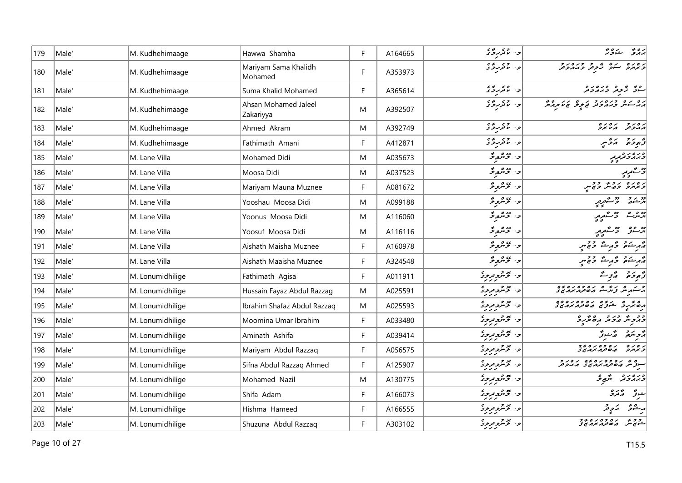| 179 | Male' | M. Kudhehimaage  | Hawwa Shamha                      | F  | A164665 | وستقريرة مح                                                     | پره پر سنده پر                                                                                           |
|-----|-------|------------------|-----------------------------------|----|---------|-----------------------------------------------------------------|----------------------------------------------------------------------------------------------------------|
| 180 | Male' | M. Kudhehimaage  | Mariyam Sama Khalidh<br>Mohamed   | F  | A353973 | د ، ئۇرۇئى                                                      | رەرە دە ئۇ ئومەدەرە                                                                                      |
| 181 | Male' | M. Kudhehimaage  | Suma Khalid Mohamed               | F  | A365614 | د ، نۇرگەنچ                                                     | جومج دي وبره برو                                                                                         |
| 182 | Male' | M. Kudhehimaage  | Ahsan Mohamed Jaleel<br>Zakariyya | M  | A392507 | د ، ئۇرگۇكى                                                     | ום נים כנסני כן כי נים היות המ                                                                           |
| 183 | Male' | M. Kudhehimaage  | Ahmed Akram                       | M  | A392749 | د . غور دي                                                      | رور روره                                                                                                 |
| 184 | Male' | M. Kudhehimaage  | Fathimath Amani                   | F  | A412871 | د . رور دي<br>د . روگردگر                                       | أراوحو أراقسي                                                                                            |
| 185 | Male' | M. Lane Villa    | Mohamed Didi                      | M  | A035673 | - ئۇش <sub>ھ</sub> رۇ                                           | و ر ه ر و<br>  و بر پر و ترترتر                                                                          |
| 186 | Male' | M. Lane Villa    | Moosa Didi                        | M  | A037523 | ر بۇ ئۈر <i>گە</i> ئە                                           | ا در گرور<br>اگر گرور                                                                                    |
| 187 | Male' | M. Lane Villa    | Mariyam Mauna Muznee              | F  | A081672 | ر ، ئۇن <sub>لى</sub> موگ                                       | גםגם גדש רדי<br>כמתב כמית כשית                                                                           |
| 188 | Male' | M. Lane Villa    | Yooshau Moosa Didi                | M  | A099188 | ر ، ئۇنى <sub>رىم</sub> ۇ                                       | دو بر و دو محمد در در برد.<br>در شور و گرگوردر                                                           |
| 189 | Male' | M. Lane Villa    | Yoonus Moosa Didi                 | M  | A116060 | و· ئۇنلىموگە                                                    |                                                                                                          |
| 190 | Male' | M. Lane Villa    | Yoosuf Moosa Didi                 | M  | A116116 | د . ئۇنىرىدۇ                                                    | دد وه دد محمد در در<br>افرانسونو افرانسود تورند                                                          |
| 191 | Male' | M. Lane Villa    | Aishath Maisha Muznee             | F  | A160978 | <sub>و</sub> ، ئۇنل <sub>ىقو</sub> مۇ                           | و الله عليه الله عن الله عن الله عن الله عن الله عن الله عن الله عن الله عن الله عن الله عن الله عن الله |
| 192 | Male' | M. Lane Villa    | Aishath Maaisha Muznee            | F  | A324548 | <mark>ى ئۇنىرىم</mark> ۇ                                        | أقهر ينتفي وحريقة وجمير                                                                                  |
| 193 | Male' | M. Lonumidhilige | Fathimath Agisa                   | F. | A011911 | و· مخپر درود ورود مح                                            |                                                                                                          |
| 194 | Male' | M. Lonumidhilige | Hussain Fayaz Abdul Razzag        | M  | A025591 | و· مخپرترویزیوی                                                 | و کر هر و در در دوره دره و د                                                                             |
| 195 | Male' | M. Lonumidhilige | Ibrahim Shafaz Abdul Razzaq       | M  | A025593 | و· مخپرترویزیوی                                                 | ە ئەرەر دەھرىرە دەرەبە                                                                                   |
| 196 | Male' | M. Lonumidhilige | Moomina Umar Ibrahim              | F  | A033480 | و· مخپتر <sub>و ترو</sub> ی                                     | وروشر ووند رەنزرو                                                                                        |
| 197 | Male' | M. Lonumidhilige | Aminath Ashifa                    | F  | A039414 | و· نژیمرورورو کا                                                | أزويتهم أأشوقر                                                                                           |
| 198 | Male' | M. Lonumidhilige | Mariyam Abdul Razzaq              | F  | A056575 | <sub>و</sub> . نژیز <sub>ورور</sub> ی                           |                                                                                                          |
| 199 | Male' | M. Lonumidhilige | Sifna Abdul Razzaq Ahmed          | F  | A125907 | د· نژینرویروی<br>-                                              | ם זי ניסיפונים ניסיבי<br>- תונייל השנגינגים בי גבע                                                       |
| 200 | Male' | M. Lonumidhilige | Mohamed Nazil                     | M  | A130775 | و· ځوینزویورونی                                                 | ورەرو شەر                                                                                                |
| 201 | Male' | M. Lonumidhilige | Shifa Adam                        | F. | A166073 | د· نژینرویروی<br>-                                              | شوتر محمدة                                                                                               |
| 202 | Male' | M. Lonumidhilige | Hishma Hameed                     | F  | A166555 | د· نژیمرورورو که                                                | برڪوڻ - برچيز                                                                                            |
| 203 | Male' | M. Lonumidhilige | Shuzuna Abdul Razzaq              | F  | A303102 | ه به مختر در در در در در ایران<br>مرکز در مرکز در مرکز در ایران | و و می ده وه بره دو.<br>شویم ش در کافرابر موارم می                                                       |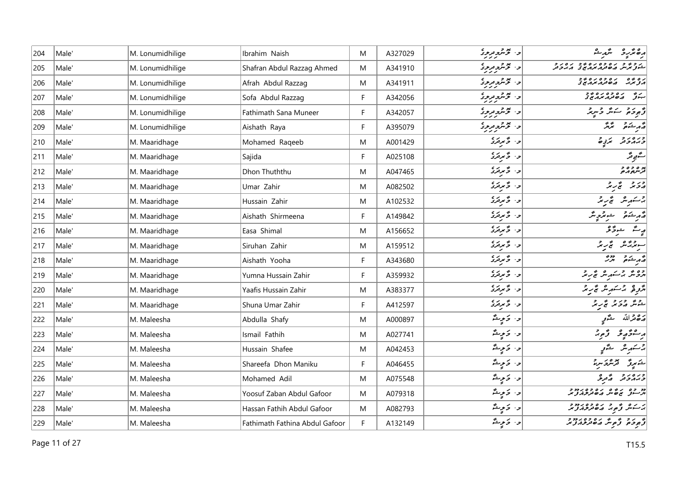| 204 | Male' | M. Lonumidhilige | Ibrahim Naish                  | M         | A327029 | د به مخر شرور د د م<br>  د ۱۰ مخر شرور د ر | أرە ئۈر ئىسى ئىسى ئىس                                                 |
|-----|-------|------------------|--------------------------------|-----------|---------|--------------------------------------------|-----------------------------------------------------------------------|
| 205 | Male' | M. Lonumidhilige | Shafran Abdul Razzag Ahmed     | M         | A341910 | و· مخپروپروپر                              | ر د د و د ره ده ره د و د ره د د<br>شوتی برس پره تر پر بر برخ بر بر تر |
| 206 | Male' | M. Lonumidhilige | Afrah Abdul Razzag             | M         | A341911 | و· مخپر محرم ديگر<br> و· مخپر مرکز         | رەپ رەدەرەپ<br>مۆير مەھىرمىرمى                                        |
| 207 | Male' | M. Lonumidhilige | Sofa Abdul Razzag              | F         | A342056 | <br> و· مخپر دیرورکا                       | ر په ده ده ده د و د                                                   |
| 208 | Male' | M. Lonumidhilige | Fathimath Sana Muneer          | F         | A342057 | د· نژیزوبروی                               | ۋە ئەھ سەنگە ئەسپە                                                    |
| 209 | Male' | M. Lonumidhilige | Aishath Raya                   | F         | A395079 | د به مخپرد ورود کار<br>د افزید کر          | أقهر شوقر المحمد                                                      |
| 210 | Male' | M. Maaridhage    | Mohamed Raqeeb                 | M         | A001429 | و٠ وٌ برِتروُ                              | ورەرو كۆۋە                                                            |
| 211 | Male' | M. Maaridhage    | Sajida                         | F         | A025108 | و٠ وٌ برِيرَى                              | ستَّمَعِ تَدَّ                                                        |
| 212 | Male' | M. Maaridhage    | Dhon Thuththu                  | M         | A047465 | و٠ وَّ موتری                               | پر ہ و ہ و<br>ترسرچ پر ج                                              |
| 213 | Male' | M. Maaridhage    | Umar Zahir                     | M         | A082502 | و·   وٌ مومَروُ                            | ە ئەير ئەرىتە                                                         |
| 214 | Male' | M. Maaridhage    | Hussain Zahir                  | M         | A102532 | و٠ وٌموتروُ                                | برستهر شه الحمر بر                                                    |
| 215 | Male' | M. Maaridhage    | Aishath Shirmeena              | F         | A149842 | و٠ وٌموتروُ                                | ۇ برىشىمۇ<br>مەرىشىمۇ<br>مەيدى <sub>چە</sub> بىگر                     |
| 216 | Male' | M. Maaridhage    | Easa Shimal                    | M         | A156652 | و٠ وٌمرترى<br>و٠ وٌمرترى                   | ر په شوڅو                                                             |
| 217 | Male' | M. Maaridhage    | Siruhan Zahir                  | ${\sf M}$ | A159512 | و٠ وٌموتروُ                                | سوپرتمنگ پچ رپر                                                       |
| 218 | Male' | M. Maaridhage    | Aishath Yooha                  | F         | A343680 | و٠ وٌموتروُ                                | و در دور<br>مار شومی افرار                                            |
| 219 | Male' | M. Maaridhage    | Yumna Hussain Zahir            | F         | A359932 | - محمومه<br> - محمومه                      | أروحه برسكر مرغر ليحر بر                                              |
| 220 | Male' | M. Maaridhage    | Yaafis Hussain Zahir           | M         | A383377 | <sub>ح</sub> . گەرىرى                      | أثروه برسكر شرعر لجربر                                                |
| 221 | Male' | M. Maaridhage    | Shuna Umar Zahir               | F         | A412597 | و. د څمومره                                |                                                                       |
| 222 | Male' | M. Maleesha      | Abdulla Shafy                  | M         | A000897 | و. وَمِيشَ                                 | رەقراللە<br>مشكور                                                     |
| 223 | Male' | M. Maleesha      | Ismail Fathih                  | M         | A027741 | د. <sub>ک</sub> ی پیگا                     | ىر شۇم قىمى<br>س<br>تۇە بە                                            |
| 224 | Male' | M. Maleesha      | Hussain Shafee                 | M         | A042453 | د. <sub>ک</sub> ې په کې                    | 2سك <i>ەر بىر</i> سى <i>گەر</i>                                       |
| 225 | Male' | M. Maleesha      | Shareefa Dhon Maniku           | F         | A046455 | وا كاموٍىنگا                               | شوہرو پر پر مرید<br>                                                  |
| 226 | Male' | M. Maleesha      | Mohamed Adil                   | ${\sf M}$ | A075548 | د· <sub>ک</sub> َ و <sub>ِ</sub> حَدٌ      | ورەر د ئېرگى                                                          |
| 227 | Male' | M. Maleesha      | Yoosuf Zaban Abdul Gafoor      | ${\sf M}$ | A079318 | و. ۇموشە                                   | מ כם גם גם גם במגמב<br>ת—تق הם ית השבק בקצה                           |
| 228 | Male' | M. Maleesha      | Hassan Fathih Abdul Gafoor     | M         | A082793 | و. ۇموشە                                   | بر ره و ده ده ده درده د                                               |
| 229 | Male' | M. Maleesha      | Fathimath Fathina Abdul Gafoor | F         | A132149 | و، وَمِرِيمٌ                               | و د د گوش ماه ده د د د                                                |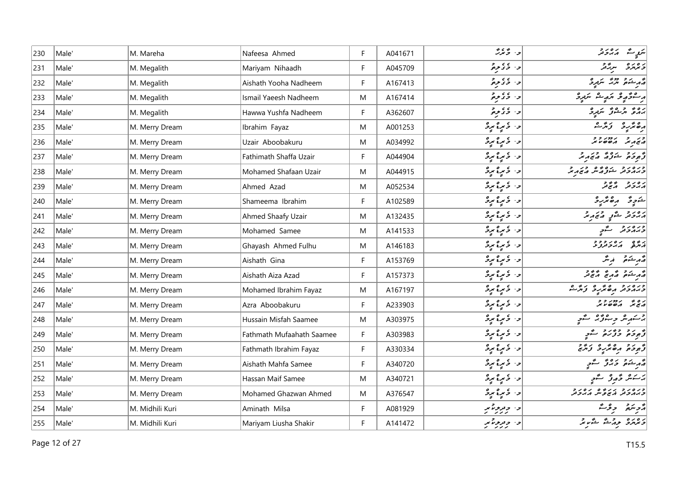| 230 | Male' | M. Mareha       | Nafeesa Ahmed             | F           | A041671 | وستحيزت                      | سَمْدٍ سَنَّۃً مَ مَدَّدَ مَد                                                                                                                                 |
|-----|-------|-----------------|---------------------------|-------------|---------|------------------------------|---------------------------------------------------------------------------------------------------------------------------------------------------------------|
| 231 | Male' | M. Megalith     | Mariyam Nihaadh           | F           | A045709 | د ، و د ده.<br>د ۰ و د موه   | دەرە سەد                                                                                                                                                      |
| 232 | Male' | M. Megalith     | Aishath Yooha Nadheem     | F           | A167413 | والمحاو و                    | أما مرح وديم الكميرة                                                                                                                                          |
| 233 | Male' | M. Megalith     | Ismail Yaeesh Nadheem     | M           | A167414 | — ع ج و<br> و· و د وه        | و عوصر مركز من من من الله الله عن الله عن الله عن الله عن الله عن الله عن الله عن الله عن الله عن ال                                                          |
| 234 | Male' | M. Megalith     | Hawwa Yushfa Nadheem      | F           | A362607 | ه . گوگوه<br>د . گوگوه       | رەپە دەپ ئېرو                                                                                                                                                 |
| 235 | Male' | M. Merry Dream  | Ibrahim Fayaz             | ${\sf M}$   | A001253 | د کی پاره<br>د کی پاره       | رەپزىر زېژىنە                                                                                                                                                 |
| 236 | Male' | M. Merry Dream  | Uzair Aboobakuru          | M           | A034992 | د کو پره پرو                 | ەيمەير<br>221331<br>J V O O N                                                                                                                                 |
| 237 | Male' | M. Merry Dream  | Fathimath Shaffa Uzair    | F           | A044904 | د· ڈىر، مرو<br>د             | وٌجِ وَحَمَدٍ مَسَوْمٌ مِنْ مِرْمٌ                                                                                                                            |
| 238 | Male' | M. Merry Dream  | Mohamed Shafaan Uzair     | M           | A044915 | د· ڈىر، مرد<br>د             | ورەر دەر دەپرە دېرىر                                                                                                                                          |
| 239 | Male' | M. Merry Dream  | Ahmed Azad                | M           | A052534 | د· ڈىر، مرد<br>د             | ره رح در در در در در برای برای در این در این در این در این در این در این در این در این در این در این در این د<br>در این در این در این در این در این در این در |
| 240 | Male' | M. Merry Dream  | Shameema Ibrahim          | F           | A102589 | د· ڈىر، مرد<br>د             | شوچۇ مۇھۇرۇ                                                                                                                                                   |
| 241 | Male' | M. Merry Dream  | Ahmed Shaafy Uzair        | M           | A132435 | د کوړ؟ پرو                   | أرور و مقو المعارج                                                                                                                                            |
| 242 | Male' | M. Merry Dream  | Mohamed Samee             | M           | A141533 |                              | دره د د عمي                                                                                                                                                   |
| 243 | Male' | M. Merry Dream  | Ghayash Ahmed Fulhu       | M           | A146183 | د کو پره پرو<br>د کو پره پرو | برجه ره رووو<br>(زیرهی مدرومونو                                                                                                                               |
| 244 | Male' | M. Merry Dream  | Aishath Gina              | F           | A153769 | د کوړ کاموه                  | ړه خوځ د سر                                                                                                                                                   |
| 245 | Male' | M. Merry Dream  | Aishath Aiza Azad         | F           | A157373 | د که کم پرو<br>د که په پرو   | הו לכל הוא הוא                                                                                                                                                |
| 246 | Male' | M. Merry Dream  | Mohamed Ibrahim Fayaz     | M           | A167197 | د· ڈىر، مرد<br>د             | ورەرو مەئزىرو كەش                                                                                                                                             |
| 247 | Male' | M. Merry Dream  | Azra Aboobakuru           | $\mathsf F$ | A233903 | د که مورد مورد<br>د که مورد  | גם זי גדוד ב                                                                                                                                                  |
| 248 | Male' | M. Merry Dream  | Hussain Misfah Saamee     | ${\sf M}$   | A303975 |                              | پر سنهر شر جه برگر پر مشرح استراح                                                                                                                             |
| 249 | Male' | M. Merry Dream  | Fathmath Mufaahath Saamee | F           | A303983 |                              | أو و و و و د و د و د د د                                                                                                                                      |
| 250 | Male' | M. Merry Dream  | Fathmath Ibrahim Fayaz    | $\mathsf F$ | A330334 | د کو پره پرو<br>د کو پره پرو | توجده معتر ومدد                                                                                                                                               |
| 251 | Male' | M. Merry Dream  | Aishath Mahfa Samee       | F           | A340720 | د کی پایگا کر                | وأرشاه وبرومي كسيح                                                                                                                                            |
| 252 | Male' | M. Merry Dream  | Hassan Maif Samee         | M           | A340721 | د کو پر ويږد و               | بر سەھ ۋەرۇ سەر                                                                                                                                               |
| 253 | Male' | M. Merry Dream  | Mohamed Ghazwan Ahmed     | M           | A376547 |                              | כנסני גנשים נסני<br><mark>כ</mark> גמכת השפית הגבת                                                                                                            |
| 254 | Male' | M. Midhili Kuri | Aminath Milsa             | F           | A081929 | د· دىرىرتىر<br>رىرىر         | أثرم سنتمر وفرعته                                                                                                                                             |
| 255 | Male' | M. Midhili Kuri | Mariyam Liusha Shakir     | F           | A141472 | و . و ترورتمبر<br>د بر بر    | رەرە ورش شىر                                                                                                                                                  |
|     |       |                 |                           |             |         |                              |                                                                                                                                                               |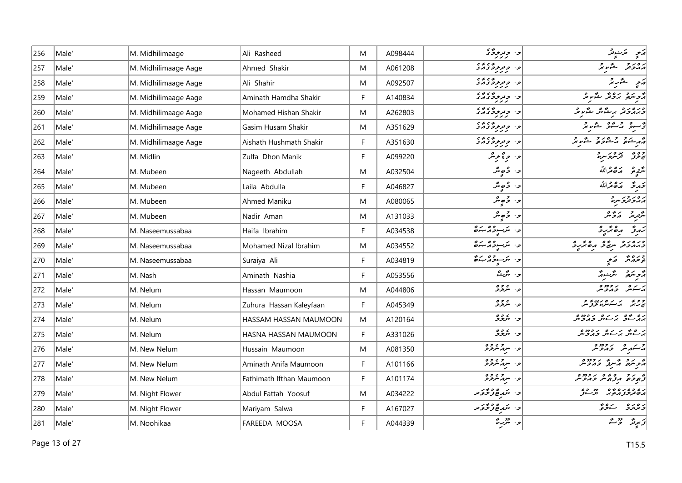| 256 | Male' | M. Midhilimaage      | Ali Rasheed              | M         | A098444 | او . و تروژه<br>________________                      | كمانون المركب وتر<br>أمانون المركب المح       |
|-----|-------|----------------------|--------------------------|-----------|---------|-------------------------------------------------------|-----------------------------------------------|
| 257 | Male' | M. Midhilimaage Aage | Ahmed Shakir             | ${\sf M}$ | A061208 | و ۰ و تروڅ وي.<br>و ۰ و تروڅ <sub>ک</sub> ارۍ         | بر ه بر و<br>م <i>رکز</i> تعر                 |
| 258 | Male' | M. Midhilimaage Aage | Ali Shahir               | M         | A092507 | $\frac{csc\theta}{csc\theta}$                         | أرشح المشرار                                  |
| 259 | Male' | M. Midhilimaage Aage | Aminath Hamdha Shakir    | F         | A140834 | و ۰ و تورو و ۰ و ۰<br>و ۰ و تورو و ۶ و و<br>シンシ       | د گر سره دره د کار د                          |
| 260 | Male' | M. Midhilimaage Aage | Mohamed Hishan Shakir    | ${\sf M}$ | A262803 | 5959999                                               | ورەرو بەشكى شكىرلا                            |
| 261 | Male' | M. Midhilimaage Aage | Gasim Husam Shakir       | M         | A351629 | 59599999                                              | تج سوق بر شوق شرير                            |
| 262 | Male' | M. Midhilimaage Aage | Aishath Hushmath Shakir  | F         | A351630 | و٠ و ترود ده د ،<br>د ۰ و ترود د د                    | و مشهور و و در و مشهور                        |
| 263 | Male' | M. Midlin            | Zulfa Dhon Manik         | F         | A099220 | د· دِ؟مِرْشَ                                          | כפי יביטי ב<br>היכר היינבייני                 |
| 264 | Male' | M. Mubeen            | Nageeth Abdullah         | ${\sf M}$ | A032504 | و . وڻ سگر                                            | س <i>ُّنَّةٍ جُمُّ جُمَّا</i> للَّهُ          |
| 265 | Male' | M. Mubeen            | Laila Abdulla            | F         | A046827 | د . د چېگر                                            | تحدق صقرالله                                  |
| 266 | Male' | M. Mubeen            | Ahmed Maniku             | M         | A080065 | د . د ځه ش                                            | ر ہ ر در<br>ג ژ ژ تر ژ سربا                   |
| 267 | Male' | M. Mubeen            | Nadir Aman               | M         | A131033 | د . د چېگر                                            | ىئىرىز كەۋىر                                  |
| 268 | Male' | M. Naseemussabaa     | Haifa Ibrahim            | F         | A034538 | و٠ سَرَسوڤ ۾ شَمَعَ                                   | ئەرۇ مەھمىيەد                                 |
| 269 | Male' | M. Naseemussabaa     | Mohamed Nizal Ibrahim    | ${\sf M}$ | A034552 | و . سرَسود و ه برهٔ                                   | כגובב תשב גם הביק                             |
| 270 | Male' | M. Naseemussabaa     | Suraiya Ali              | F         | A034819 | و سرسود شده                                           | ج ر ٥ ر<br>څو برورگر<br>ەرىر                  |
| 271 | Male' | M. Nash              | Aminath Nashia           | F         | A053556 | ىر. ئىگرىشە                                           | پ <sup>ر</sup> جه سره<br>مرج                  |
| 272 | Male' | M. Nelum             | Hassan Maumoon           | M         | A044806 | و . شروره                                             | بزسەيىتىر<br>ر ودو ه<br>د مرک                 |
| 273 | Male' | M. Nelum             | Zuhura Hassan Kaleyfaan  | F         | A045349 | و، سروو                                               | ووه در در در در در در د                       |
| 274 | Male' | M. Nelum             | HASSAM HASSAN MAUMOON    | M         | A120164 | و . شروره                                             | ره مه و بر ده بروده و<br>برد کشور برگستر وروس |
| 275 | Male' | M. Nelum             | HASNA HASSAN MAUMOON     | F         | A331026 | و، سروو                                               | رُ ڪِسُ رَ رَ رَ رَ دِ دِهِ وَ رَ دِ دِ دِ    |
| 276 | Male' | M. New Nelum         | Hussain Maumoon          | M         | A081350 | و . سر <i>و شرو</i> ه                                 | ير شهر شهر استروپلی ا                         |
| 277 | Male' | M. New Nelum         | Aminath Anifa Maumoon    | F         | A101166 | و . سر گروه<br>و . سر گرفر                            | הכיטי הייג' בוכרים                            |
| 278 | Male' | M. New Nelum         | Fathimath Ifthan Maumoon | F         | A101174 | و. سروسرپرو                                           | و و دو دو و دوده و                            |
| 279 | Male' | M. Night Flower      | Abdul Fattah Yoosuf      | M         | A034222 | و· سَمَدِ ۱۳۶۴ کو تر                                  | ره כه ره ده و ده<br>مان تروز مرد اثر سوز      |
| 280 | Male' | M. Night Flower      | Mariyam Salwa            | F         | A167027 | د <sub>: سك</sub> ر <sub>گ</sub> ۇنۇك <sub>ە</sub> بر | ر ه ر ه<br><del>ر</del> بربر د                |
| 281 | Male' | M. Noohikaa          | FAREEDA MOOSA            | F         | A044339 | د ، متزرعٌ                                            | أؤبرش وحمش                                    |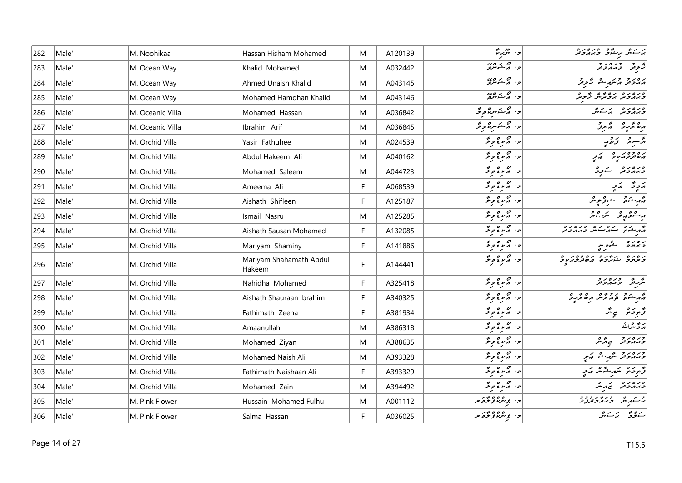| 282 | Male' | M. Noohikaa      | Hassan Hisham Mohamed             | M  | A120139 | ح المتورغ                               | يركس رئيص وره رو                                     |
|-----|-------|------------------|-----------------------------------|----|---------|-----------------------------------------|------------------------------------------------------|
| 283 | Male' | M. Ocean Way     | Khalid Mohamed                    | M  | A032442 | ح · هم شو عه عه                         | رحمو ورەرو                                           |
| 284 | Male' | M. Ocean Way     | Ahmed Unaish Khalid               | M  | A043145 | ح · گرشتگره می                          | رور و مرکز شهر شور                                   |
| 285 | Male' | M. Ocean Way     | Mohamed Hamdhan Khalid            | M  | A043146 | ح · هم شو عه عه                         | ورەر دەرە دەرە گېرد                                  |
| 286 | Male' | M. Oceanic Villa | Mohamed Hassan                    | M  | A036842 | د . م <sup>م</sup> شەمرى <i>نا و څ</i>  | ورەرو پەسەش                                          |
| 287 | Male' | M. Oceanic Villa | Ibrahim Arif                      | M  | A036845 | د . گەشكىبرى <i>نا <sub>ئ</sub>و</i> مۇ | رە ئۆر ئەيرۇ                                         |
| 288 | Male' | M. Orchid Villa  | Yasir Fathuhee                    | M  | A024539 | د. د کېږې وگړ                           | پر سربر زه <sub>ر</sub>                              |
| 289 | Male' | M. Orchid Villa  | Abdul Hakeem Ali                  | M  | A040162 | د ، دګرو وگړ                            | ره وه ر<br>په هنرمربر د<br>رځمني                     |
| 290 | Male' | M. Orchid Villa  | Mohamed Saleem                    | M  | A044723 | د ، دګرو وگړ                            | و ر ه ر و<br>تر پر تر تر<br>سەرد                     |
| 291 | Male' | M. Orchid Villa  | Ameema Ali                        | F  | A068539 | د ، دګرو وگړ                            | أرَدِ وَ أَمْرِ إِ                                   |
| 292 | Male' | M. Orchid Villa  | Aishath Shifleen                  | F  | A125187 | د. دې دې دې                             | وأرشكم سوري                                          |
| 293 | Male' | M. Orchid Villa  | Ismail Nasru                      | M  | A125285 | د. د کموړونو                            | ر عرد پو سرجانه                                      |
| 294 | Male' | M. Orchid Villa  | Aishath Sausan Mohamed            | F  | A132085 | د. د کمونو څو                           | ه مشور در در و دره د د<br>مهر شور سور سوسر وبر دولر  |
| 295 | Male' | M. Orchid Villa  | Mariyam Shaminy                   | F  | A141886 | د. د کموړونو                            | ره ره شوس<br>د عر مشوس                               |
| 296 | Male' | M. Orchid Villa  | Mariyam Shahamath Abdul<br>Hakeem | F. | A144441 | - ژموء <sub>مو</sub> مح                 | ג סגם הגדה גם כסגם<br>כמחבר שינכם, הסנק <i>בג</i> עב |
| 297 | Male' | M. Orchid Villa  | Nahidha Mohamed                   | F  | A325418 | د . د عود د گر                          | شریق وره دو                                          |
| 298 | Male' | M. Orchid Villa  | Aishath Shauraan Ibrahim          | F  | A340325 | د. دېمونومو                             | ړٌ د شکه څه تر شر ه ه تر پر د                        |
| 299 | Male' | M. Orchid Villa  | Fathimath Zeena                   | F  | A381934 | د. دې دود                               | ژَّبِودَهُ پِیْر                                     |
| 300 | Male' | M. Orchid Villa  | Amaanullah                        | M  | A386318 | د. د کېږې وگړ                           | مرځ بترالله                                          |
| 301 | Male' | M. Orchid Villa  | Mohamed Ziyan                     | M  | A388635 | د. د کمونه و ځ                          | ورەرو برگر                                           |
| 302 | Male' | M. Orchid Villa  | Mohamed Naish Ali                 | M  | A393328 | د. د کمونه و څ                          | وبرورو شربط كمو                                      |
| 303 | Male' | M. Orchid Villa  | Fathimath Naishaan Ali            | F  | A393329 | ە بۇرۇمۇ                                | تزود قو سمد شمر المر                                 |
| 304 | Male' | M. Orchid Villa  | Mohamed Zain                      | M  | A394492 | ه . د موء و ځه                          | כנסנכ בנית                                           |
| 305 | Male' | M. Pink Flower   | Hussain Mohamed Fulhu             | M  | A001112 | د· بویتر <i>مانو</i> څوکړ               | و در وره دووو<br>پرسکهرس وبرووترولا                  |
| 306 | Male' | M. Pink Flower   | Salma Hassan                      | F  | A036025 | و٠ ومردوووتر                            | شۇۋە بۇشەھ                                           |
|     |       |                  |                                   |    |         |                                         |                                                      |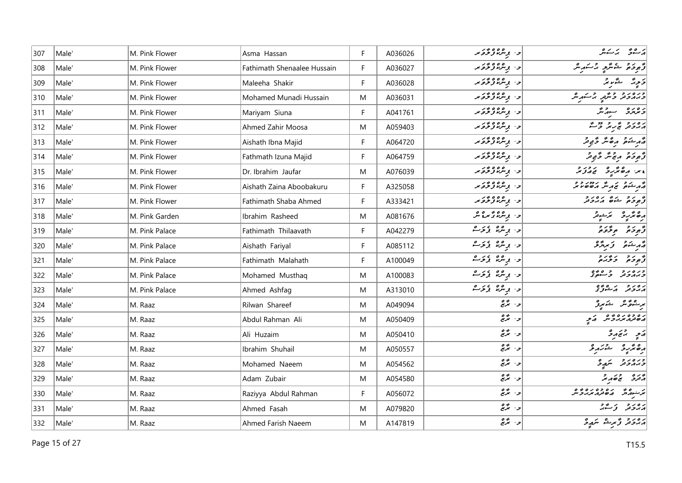| 307 | Male' | M. Pink Flower | Asma Hassan                 | F  | A036026 | <sub>ج</sub> . ب <sub>و</sub> مثر <i>موقوع پ</i> ر | پره څخه پر پر ټر                                     |
|-----|-------|----------------|-----------------------------|----|---------|----------------------------------------------------|------------------------------------------------------|
| 308 | Male' | M. Pink Flower | Fathimath Shenaalee Hussain | F  | A036027 | <sub>و</sub> . بومثر <i>وتوڅو</i> ير               | و موجود المستقريب بر مسكور مر                        |
| 309 | Male' | M. Pink Flower | Maleeha Shakir              | F. | A036028 | د· بویتر و ژوځوند                                  | كالمحافية المتحفظ المحمد                             |
| 310 | Male' | M. Pink Flower | Mohamed Munadi Hussain      | M  | A036031 | و. بومبرالوفروند                                   | ورەرو وگړ د کريد                                     |
| 311 | Male' | M. Pink Flower | Mariyam Siuna               | F  | A041761 | <sub>ج</sub> . ب <sub>و</sub> مثر <i>موقوع پ</i> ر | ويوره سورش                                           |
| 312 | Male' | M. Pink Flower | Ahmed Zahir Moosa           | M  | A059403 | و٠ ومردوووتر                                       | رەرد پەر دەپ                                         |
| 313 | Male' | M. Pink Flower | Aishath Ibna Majid          | F. | A064720 | وسير شريونونو تدريد                                | مەستىم مەھىر دەير                                    |
| 314 | Male' | M. Pink Flower | Fathmath Izuna Majid        | F  | A064759 | وسيرس وه و و بر                                    | توجوحو مقاشر ومحياته                                 |
| 315 | Male' | M. Pink Flower | Dr. Ibrahim Jaufar          | M  | A076039 | <sub>ج</sub> . ب <sub>و</sub> مثر <i>مؤونجون</i> د | ١٤ رەشرە دەر                                         |
| 316 | Male' | M. Pink Flower | Aishath Zaina Aboobakuru    | F  | A325058 | و· بوشر <i>وو وڅو</i> ند                           |                                                      |
| 317 | Male' | M. Pink Flower | Fathimath Shaba Ahmed       | F. | A333421 | <sub>ج</sub> . ب <sub>و</sub> مثر <i>ماؤڅون</i> مه | تح بر د ده بره بر د                                  |
| 318 | Male' | M. Pink Garden | Ibrahim Rasheed             | M  | A081676 | و. بویتر او کاموی مگر                              | رە ئرىر ئىن ئىشىر                                    |
| 319 | Male' | M. Pink Palace | Fathimath Thilaavath        | F  | A042279 | د· ب <sub>و</sub> مثر <i>م بوځ</i> ې               | تونه وتوه                                            |
| 320 | Male' | M. Pink Palace | Aishath Fariyal             | F  | A085112 | د. بر مرتد بر د ک                                  | مەر ئەق ئەيرىگە                                      |
| 321 | Male' | M. Pink Palace | Fathimath Malahath          | F  | A100049 | د· بړسمبر بوځې                                     | و رو رورو                                            |
| 322 | Male' | M. Pink Palace | Mohamed Musthaq             | M  | A100083 | د· برین بر بوت                                     | وره رو وه ده<br><i>وب</i> رمرتر و سو <sub>گر</sub> ی |
| 323 | Male' | M. Pink Palace | Ahmed Ashfaq                | M  | A313010 | د· ب <sub>و</sub> شر <sub>ىك ب</sub> ۇ ئۇس         | رەرد كەشۋە                                           |
| 324 | Male' | M. Raaz        | Rilwan Shareef              | M  | A049094 | و· مَحْرَمَ                                        | ىر شۇھەر سىمبرۇ                                      |
| 325 | Male' | M. Raaz        | Abdul Rahman Ali            | M  | A050409 | و· مُحَمَّع                                        | ره وه ره ده و کرم                                    |
| 326 | Male' | M. Raaz        | Ali Huzaim                  | M  | A050410 | و· مُحَرَّج                                        | أتمنح بمنجمز                                         |
| 327 | Male' | M. Raaz        | Ibrahim Shuhail             | M  | A050557 | و· مَحْرَمَ                                        | رەئرىرو شىرىرو                                       |
| 328 | Male' | M. Raaz        | Mohamed Naeem               | M  | A054562 | و٠ مگړي                                            | ورەرو ئەد                                            |
| 329 | Male' | M. Raaz        | Adam Zubair                 | M  | A054580 | و. مۇيج                                            | בנים בניה"ב                                          |
| 330 | Male' | M. Raaz        | Raziyya Abdul Rahman        | F  | A056072 | و· مُحَمَّع                                        | ر وه رووه روه و<br>برخور روه در برگر                 |
| 331 | Male' | M. Raaz        | Ahmed Fasah                 | M  | A079820 | و· مُحرِّمٍ                                        | رەرد ۋىش                                             |
| 332 | Male' | M. Raaz        | Ahmed Farish Naeem          | M  | A147819 | و . محرج                                           | أرور ومحريث تتهرى                                    |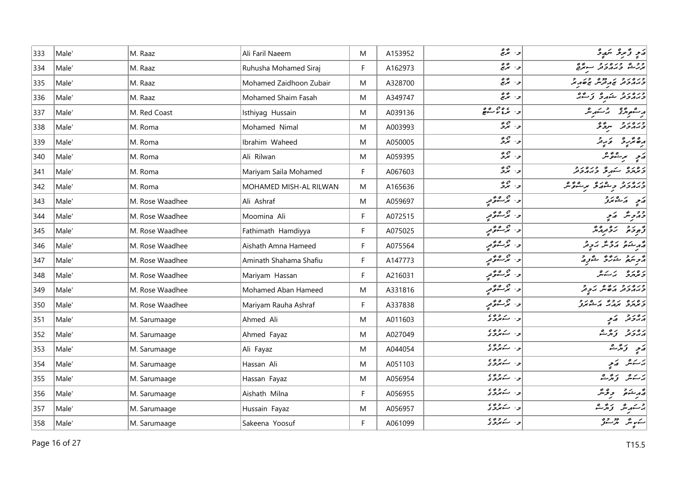| 333 | Male' | M. Raaz         | Ali Faril Naeem         | M           | A153952 | و٠ مُرْمَح                                | ړَ په رُسِوْ سَمِهِ وُ                   |
|-----|-------|-----------------|-------------------------|-------------|---------|-------------------------------------------|------------------------------------------|
| 334 | Male' | M. Raaz         | Ruhusha Mohamed Siraj   | F           | A162973 | و· مگريج                                  | 22 21017 مرور 24<br>بررشہ وبر دولہ سوئرج |
| 335 | Male' | M. Raaz         | Mohamed Zaidhoon Zubair | M           | A328700 | و· مگريم                                  | כנסנב מתמת בסתיב                         |
| 336 | Male' | M. Raaz         | Mohamed Shaim Fasah     | M           | A349747 | و٠ مُرْمَح                                | ورەرو خىرو زىگە                          |
| 337 | Male' | M. Red Coast    | Isthiyag Hussain        | M           | A039136 |                                           | وېشمو پژخ پر شکور شر                     |
| 338 | Male' | M. Roma         | Mohamed Nimal           | M           | A003993 | و . موڅ                                   | כנסנב תוכל                               |
| 339 | Male' | M. Roma         | Ibrahim Waheed          | M           | A050005 | و . موڅ                                   | وە ئۇرۇ بۇ بو                            |
| 340 | Male' | M. Roma         | Ali Rilwan              | ${\sf M}$   | A059395 | و . موڅ                                   | أەمو برخوش                               |
| 341 | Male' | M. Roma         | Mariyam Saila Mohamed   | F           | A067603 | و· مُحرَّحَ                               | ן פיני הניי בגם גב                       |
| 342 | Male' | M. Roma         | MOHAMED MISH-AL RILWAN  | M           | A165636 | و بمرد                                    | ورەرو دېشھۇ برىنىۋىر                     |
| 343 | Male' | M. Rose Waadhee | Ali Ashraf              | M           | A059697 | ح · محر شورة مو                           | أقدمتها المتشامرة                        |
| 344 | Male' | M. Rose Waadhee | Moomina Ali             | F           | A072515 | ر موسیقی میں<br>حسنہ میں مش <i>مو</i> کیں | ودويتر المتو                             |
| 345 | Male' | M. Rose Waadhee | Fathimath Hamdiyya      | $\mathsf F$ | A075025 | د ، برگوگور                               | توجدة رومورة                             |
| 346 | Male' | M. Rose Waadhee | Aishath Amna Hameed     | $\mathsf F$ | A075564 | و· گرمىقوپر                               | و مشور ده و بر د د                       |
| 347 | Male' | M. Rose Waadhee | Aminath Shahama Shafiu  | F           | A147773 | <mark>و، ئۇسقۇ</mark> بېر                 | أأدوبتهم كمشركز كالموار                  |
| 348 | Male' | M. Rose Waadhee | Mariyam Hassan          | F           | A216031 | ر <i>می شو قو</i> ر                       | دەرە بەسەر                               |
| 349 | Male' | M. Rose Waadhee | Mohamed Aban Hameed     | M           | A331816 | ح . محر شور تور<br>ح . محر شور تور        | ورەرو رەھ كەچ                            |
| 350 | Male' | M. Rose Waadhee | Mariyam Rauha Ashraf    | F           | A337838 | - می صوّمو                                | ر ۲۵ د ۲۵ د ۲۵ د و                       |
| 351 | Male' | M. Sarumaage    | Ahmed Ali               | M           | A011603 | وستعروه                                   | أروئ وكمي                                |
| 352 | Male' | M. Sarumaage    | Ahmed Fayaz             | ${\sf M}$   | A027049 | و، سەپروى                                 | برەر دېگر ش                              |
| 353 | Male' | M. Sarumaage    | Ali Fayaz               | M           | A044054 | و، سەپروى                                 | أەرىب ئەترىشى                            |
| 354 | Male' | M. Sarumaage    | Hassan Ali              | M           | A051103 | و، سەپروى                                 | يز کشهر اور کمینی که در                  |
| 355 | Male' | M. Sarumaage    | Hassan Fayaz            | ${\sf M}$   | A056954 | وستمترون                                  | برسەش بۇرۇشە                             |
| 356 | Male' | M. Sarumaage    | Aishath Milna           | F           | A056955 | و، سەپروى                                 | أقهر يشكفوا الترافيش                     |
| 357 | Male' | M. Sarumaage    | Hussain Fayaz           | M           | A056957 | ر روه و                                   | جر شهر مگر تو تر تر شهر به               |
| 358 | Male' | M. Sarumaage    | Sakeena Yoosuf          | F           | A061099 | و، ستهروی                                 | سەر مەھر جەھ                             |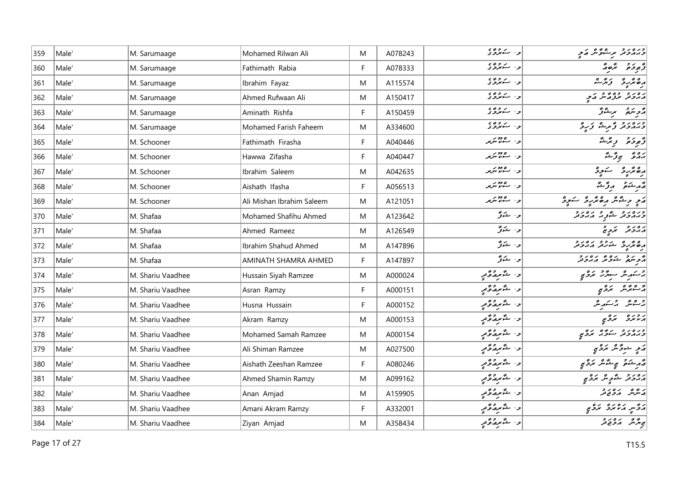| 359 | Male' | M. Sarumaage      | Mohamed Rilwan Ali        | M           | A078243 | ا د ، سنهروی                            | ورەرو برخۇش كەي                                                      |
|-----|-------|-------------------|---------------------------|-------------|---------|-----------------------------------------|----------------------------------------------------------------------|
| 360 | Male' | M. Sarumaage      | Fathimath Rabia           | F           | A078333 | و، سەپروى                               | $rac{2}{2}$                                                          |
| 361 | Male' | M. Sarumaage      | Ibrahim Fayaz             | M           | A115574 | وستمونون                                |                                                                      |
| 362 | Male' | M. Sarumaage      | Ahmed Rufwaan Ali         | M           | A150417 | و، سەپروى                               | גפגב בפייב ביב                                                       |
| 363 | Male' | M. Sarumaage      | Aminath Rishfa            | $\mathsf F$ | A150459 | و، سەپروى                               | أأدمره الرشوش                                                        |
| 364 | Male' | M. Sarumaage      | Mohamed Farish Faheem     | M           | A334600 | و، سەپروى                               | ورورو ومرعا ورو                                                      |
| 365 | Male' | M. Schooner       | Fathimath Firasha         | F           | A040446 | و. سەملەتكەر                            | قرموخو وبتشة                                                         |
| 366 | Male' | M. Schooner       | Hawwa Zifasha             | F           | A040447 | و. مسور تعریبه                          | يەھۇر سى قەشقە                                                       |
| 367 | Male' | M. Schooner       | Ibrahim Saleem            | M           | A042635 | و. سەملەتكەر                            |                                                                      |
| 368 | Male' | M. Schooner       | Aishath Ifasha            | F           | A056513 | و. سەملەتكەر                            | و<br>مەرخىسى مەركىگە                                                 |
| 369 | Male' | M. Schooner       | Ali Mishan Ibrahim Saleem | M           | A121051 | و. سەر تەرىر                            | ړنو وېشمر ده ټرو خوو                                                 |
| 370 | Male' | M. Shafaa         | Mohamed Shafihu Ahmed     | M           | A123642 | و. شەۋ                                  | ورەرو ئۇرق مەدو                                                      |
| 371 | Male' | M. Shafaa         | Ahmed Rameez              | M           | A126549 | و. خۇگ                                  | رەر ئەرچ                                                             |
| 372 | Male' | M. Shafaa         | Ibrahim Shahud Ahmed      | M           | A147896 | ر. خۇگر                                 | ره بورو مشرد و ره رو<br>ده بورو مشررته مدروته                        |
| 373 | Male' | M. Shafaa         | AMINATH SHAMRA AHMED      | F           | A147897 | و. شەۋ                                  | ح کم شور ده در در د                                                  |
| 374 | Male' | M. Shariu Vaadhee | Hussain Siyah Ramzee      | M           | A000024 | ح · ستٌمره وَ تو ٍ                      | جا مر المر المركز المرومي<br>10 مر المركز المرومي<br>10 مركز المرومي |
| 375 | Male' | M. Shariu Vaadhee | Asran Ramzy               | F           | A000151 | و٠ شگېره وگړ<br>د                       |                                                                      |
| 376 | Male' | M. Shariu Vaadhee | Husna Hussain             | E           | A000152 | و شمره و و                              | جەشق برسىم يىر                                                       |
| 377 | Male' | M. Shariu Vaadhee | Akram Ramzy               | M           | A000153 | <sub>و</sub> . شٌمورة وَ <sub>ورِ</sub> | رديره بروې                                                           |
| 378 | Male' | M. Shariu Vaadhee | Mohamed Samah Ramzee      | M           | A000154 | و٠ شگېره <i>وگړ</i>                     | ورەر د بروه ره<br>دېرمرونر سوچر بروې                                 |
| 379 | Male' | M. Shariu Vaadhee | Ali Shiman Ramzee         | M           | A027500 | و شگر ده وگر                            | ړَر ِ شردَّ پر بردې پا                                               |
| 380 | Male' | M. Shariu Vaadhee | Aishath Zeeshan Ramzee    | $\mathsf F$ | A080246 | ر . ڪُنڊرگوگر                           | وأرشكن بإستكس بروني                                                  |
| 381 | Male' | M. Shariu Vaadhee | Ahmed Shamin Ramzy        | M           | A099162 | <sub>و</sub> . شُمورة وَ <sub>فرِ</sub> | رەرد ئۇچىر برۇپ                                                      |
| 382 | Male' | M. Shariu Vaadhee | Anan Amjad                | M           | A159905 | و٠ شٌم <i>ورو وٌ</i> تو ٍ               | ە ئىگە ئىس ئەرەبىر ئە                                                |
| 383 | Male' | M. Shariu Vaadhee | Amani Akram Ramzy         | F           | A332001 | و٠ شَمَعِرهُ قَرْمٍ                     | גלית ג'ילג'ם "גם ק                                                   |
| 384 | Male' | M. Shariu Vaadhee | Ziyan Amjad               | M           | A358434 | و٠ شٌمره وګړ<br>د                       | پر پڑ سر کر تر ہے تر                                                 |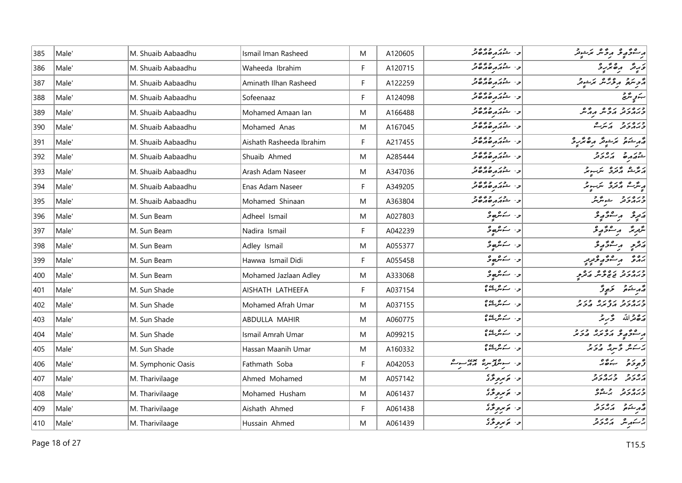| 385 | Male' | M. Shuaib Aabaadhu | Ismail Iman Rasheed      | M           | A120605 |                                 |                                         |
|-----|-------|--------------------|--------------------------|-------------|---------|---------------------------------|-----------------------------------------|
| 386 | Male' | M. Shuaib Aabaadhu | Waheeda Ibrahim          | F           | A120715 |                                 | وببقر مرەنجرىرى                         |
| 387 | Male' | M. Shuaib Aabaadhu | Aminath Ilhan Rasheed    | F           | A122259 | -- הבתקסת <i>ס</i> ת            | أأوسم أروشكر للمسور                     |
| 388 | Male' | M. Shuaib Aabaadhu | Sofeenaaz                | F           | A124098 |                                 | ىبۇر ئىرچ                               |
| 389 | Male' | M. Shuaib Aabaadhu | Mohamed Amaan lan        | M           | A166488 | כי היינגר כללכ                  | כנסגב גם המס<br>בגתכת הכית ההית         |
| 390 | Male' | M. Shuaib Aabaadhu | Mohamed Anas             | M           | A167045 | כי הממקסמים <sub>בר</sub>       | ورەرو پەترىش                            |
| 391 | Male' | M. Shuaib Aabaadhu | Aishath Rasheeda Ibrahim | $\mathsf F$ | A217455 | כ בין המקסת <i>ס</i> ת          | وأرشكني ترشوش وكالررد                   |
| 392 | Male' | M. Shuaib Aabaadhu | Shuaib Ahmed             | M           | A285444 |                                 | شمهره برورد                             |
| 393 | Male' | M. Shuaib Aabaadhu | Arash Adam Naseer        | M           | A347036 | כ להאת <i>ס</i> אפי             | أرشى محره مرجع                          |
| 394 | Male' | M. Shuaib Aabaadhu | Enas Adam Naseer         | F           | A349205 | -- הבתקסת <i>ס</i> ת            | أريثر شام الأثرو الترسوير               |
| 395 | Male' | M. Shuaib Aabaadhu | Mohamed Shinaan          | M           | A363804 |                                 | <br>  <i>ويرووند جومره</i>              |
| 396 | Male' | M. Sun Beam        | Adheel Ismail            | M           | A027803 | د. سەئىر يەم                    | پَهِ دِهْ مِنْ پِهِ دِهِ دِ             |
| 397 | Male' | M. Sun Beam        | Nadira Ismail            | $\mathsf F$ | A042239 | د. سەشھۇ                        | تربر بر شرقه و                          |
| 398 | Male' | M. Sun Beam        | Adley Ismail             | M           | A055377 | د. سەئىر يەۋ                    | ړو په دڅوړو                             |
| 399 | Male' | M. Sun Beam        | Hawwa Ismail Didi        | F           | A055458 | د. سەشھۇ                        | روء رے ویور                             |
| 400 | Male' | M. Sun Beam        | Mohamed Jazlaan Adley    | M           | A333068 | د. سەشھۇ                        | ورەر دېرە بول كەنگە                     |
| 401 | Male' | M. Sun Shade       | AISHATH LATHEEFA         | F           | A037154 | د. ڪرمرينو ۾                    | أأمر شكافها المحجور                     |
| 402 | Male' | M. Sun Shade       | Mohamed Afrah Umar       | M           | A037155 | ى سەھرىيىق                      | כנסג כ גםגם "כג"ב<br>בגמבת "מציגה "מכינ |
| 403 | Male' | M. Sun Shade       | ABDULLA MAHIR            | M           | A060775 | د . سەھرىيىق                    | برە دالله ځریمه                         |
| 404 | Male' | M. Sun Shade       | Ismail Amrah Umar        | M           | A099215 | د. ڪشرڪ ۽                       |                                         |
| 405 | Male' | M. Sun Shade       | Hassan Maanih Umar       | M           | A160332 | و. سەھرىيىق                     |                                         |
| 406 | Male' | M. Symphonic Oasis | Fathmath Soba            | F           | A042053 | د. سوشریع می سوشه               | أوجود بره                               |
| 407 | Male' | M. Tharivilaage    | Ahmed Mohamed            | M           | A057142 | و· <sub>م</sub> ې <i>پروڅ</i> ر | پرور و<br>و ره ر و<br>تر <i>د د</i> تر  |
| 408 | Male' | M. Tharivilaage    | Mohamed Husham           | M           | A061437 | و· <sub>م</sub> ې پروڅو         | ورەر دېمبرو<br>دىرمەتر بەشۇر            |
| 409 | Male' | M. Tharivilaage    | Aishath Ahmed            | F           | A061438 | و· <sub>م</sub> ې <i>پروڅ</i> ر | مەرشۇم مەردىر                           |
| 410 | Male' | M. Tharivilaage    | Hussain Ahmed            | M           | A061439 | و· <sub>م</sub> ې پروڅو         | بر شهر شهر از بر در د                   |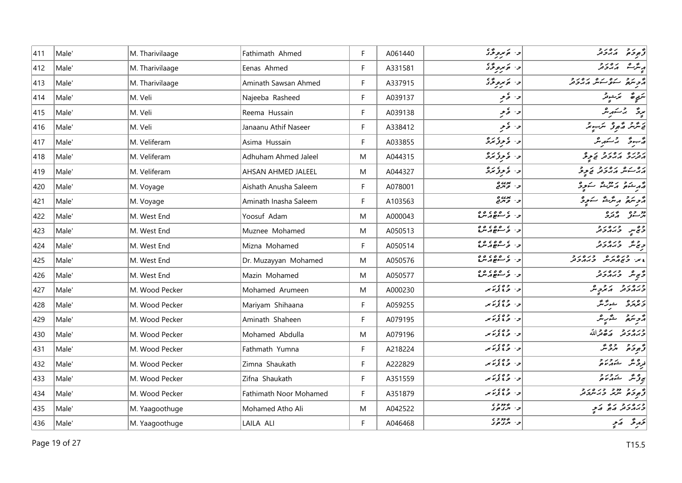| 411 | Male' | M. Tharivilaage | Fathimath Ahmed        | F         | A061440 | و٠ ٷؠروڻري                                                         | و بالمحمد المستحقر                                 |
|-----|-------|-----------------|------------------------|-----------|---------|--------------------------------------------------------------------|----------------------------------------------------|
| 412 | Male' | M. Tharivilaage | Eenas Ahmed            | F         | A331581 | و· ئەپروگۇي                                                        | أمريش مرادر ورو                                    |
| 413 | Male' | M. Tharivilaage | Aminath Sawsan Ahmed   | F         | A337915 | و· <sub>م</sub> وسر و و د د                                        | أو برو دره دره بروبرد                              |
| 414 | Male' | M. Veli         | Najeeba Rasheed        | F         | A039137 | ا په تخو                                                           | سَرْمٍ فَلَا سَمَ سَنِيمٍ مِنْ                     |
| 415 | Male' | M. Veli         | Reema Hussain          | F         | A039138 | احا نحمو                                                           | برق بر شهر شر                                      |
| 416 | Male' | M. Veli         | Janaanu Athif Naseer   | F         | A338412 | و· قرم                                                             | ئے مگرمز کھولا امریکو مگر                          |
| 417 | Male' | M. Veliferam    | Asima Hussain          | F         | A033855 | و· ۇمۇترىگە                                                        | ۇجۇ باشمەش                                         |
| 418 | Male' | M. Veliferam    | Adhuham Ahmed Jaleel   | ${\sf M}$ | A044315 | والمحجوة ترقر                                                      | ر وره ره رو د په د                                 |
| 419 | Male' | M. Veliferam    | AHSAN AHMED JALEEL     | M         | A044327 | و· ۇمۇترگە                                                         | ده کره درود تارو                                   |
| 420 | Male' | M. Voyage       | Aishath Anusha Saleem  | F         | A078001 | بر بردن ه<br>بر با به دور بع                                       | أقهر يشمع أما مرشق الشهود                          |
| 421 | Male' | M. Voyage       | Aminath Inasha Saleem  | F         | A103563 | ر مورده<br>د و درو                                                 | أأدوسهم وبترك سكود                                 |
| 422 | Male' | M. West End     | Yoosuf Adam            | M         | A000043 |                                                                    | دد وه په دره<br>درسونو پرترو                       |
| 423 | Male' | M. West End     | Muznee Mohamed         | M         | A050513 | ه وه وه وه وه                                                      | وه وره دو<br>حي سٍ وبرموس                          |
| 424 | Male' | M. West End     | Mizna Mohamed          | F         | A050514 | ے مصرورہ میں<br>ح                                                  | د ده دره د د                                       |
| 425 | Male' | M. West End     | Dr. Muzayyan Mohamed   | M         | A050576 | و و عروه و وه                                                      | צעי כאמתיית בממכת                                  |
| 426 | Male' | M. West End     | Mazin Mohamed          | M         | A050577 | $\overset{\circ}{\mathcal{E}}$ ر. خ $\overset{\circ}{\mathcal{E}}$ | و دره دره در                                       |
| 427 | Male' | M. Wood Pecker  | Mohamed Arumeen        | M         | A000230 | و ۱ وه ی در<br>و ۱ و ٤ بورتم بو                                    | ورەرو روپر                                         |
| 428 | Male' | M. Wood Pecker  | Mariyam Shihaana       | F         | A059255 | و ، وه ، د تا بر                                                   | دیرمرد مسرشتر                                      |
| 429 | Male' | M. Wood Pecker  | Aminath Shaheen        | F         | A079195 | و، وەي ئەر                                                         | ىش <i>تەر بىر</i><br>لمجمعه سنعو                   |
| 430 | Male' | M. Wood Pecker  | Mohamed Abdulla        | M         | A079196 | د ۱۶۵۶ و.<br>د گرونو کم                                            | وره رو ده دالله                                    |
| 431 | Male' | M. Wood Pecker  | Fathmath Yumna         | F         | A218224 | و ۱ وه ی در<br>و ۱ و ٤ بورتم بو                                    | أوجوحه الرحاشر                                     |
| 432 | Male' | M. Wood Pecker  | Zimna Shaukath         | F         | A222829 | و ۱ وه ی در<br>و ۱ و ٤ بون بر                                      | فروش شهريره                                        |
| 433 | Male' | M. Wood Pecker  | Zifna Shaukath         | F         | A351559 | و ، وه ، د تا بر                                                   | ى ئۇنىڭر شەھرىمىتى ئ                               |
| 434 | Male' | M. Wood Pecker  | Fathimath Noor Mohamed | F         | A351879 | و ۱ وه ی در<br>و ۱ و ٤ بون بر                                      | י ג כ חב כגם גב<br>צ'ופרים יינו <i>ג בג</i> יינדינ |
| 435 | Male' | M. Yaagoothuge  | Mohamed Atho Ali       | M         | A042522 | ני 1979<br>תי תצם צ                                                |                                                    |
| 436 | Male' | M. Yaagoothuge  | LAILA ALI              | F         | A046468 | ه دو د د د<br>د ۰ مرد می د                                         | لخهرقخ الأمج                                       |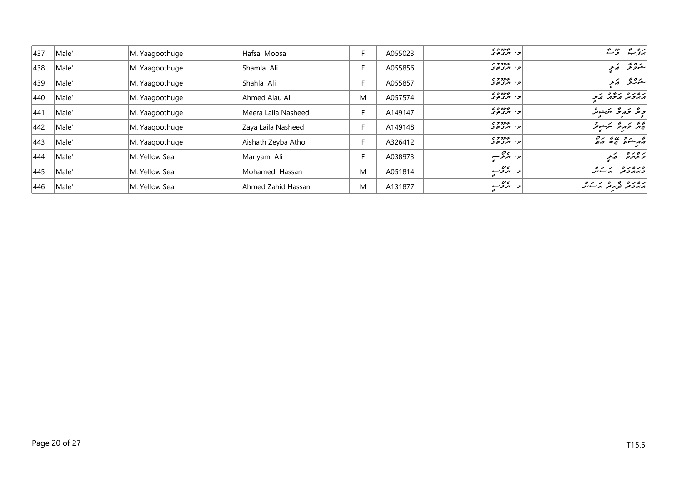| 437 | Male'          | M. Yaagoothuge | Hafsa Moosa         |   | A055023 | 17776<br>3937 - 7              | پرویے<br>ديسته                                 |
|-----|----------------|----------------|---------------------|---|---------|--------------------------------|------------------------------------------------|
| 438 | Male'          | M. Yaagoothuge | Shamla Ali          |   | A055856 | 0.2226<br>∣خ∙ بڑی می ی         | شۇقۇ<br>رزو                                    |
| 439 | Male'          | M. Yaagoothuge | Shahla Ali          |   | A055857 | 0.2226<br>ح <i>ا الري مي ي</i> | خەرى<br>ەتىر                                   |
| 440 | Male'          | M. Yaagoothuge | Ahmed Alau Ali      | M | A057574 | 0.2226<br>ح• مری می ی          | د ه د د و د د د                                |
| 441 | Male'          | M. Yaagoothuge | Meera Laila Nasheed |   | A149147 | 0.2226<br>ح• مرد می د          | وِ بَدَّ نَرَ مِرْ شَرْسُونْدُ                 |
| 442 | Male'          | M. Yaagoothuge | Zaya Laila Nasheed  |   | A149148 | 6.2226<br>ح <i>ا الري مي ي</i> | أتجاثر كرما كل الكربشوقر                       |
| 443 | Male'          | M. Yaagoothuge | Aishath Zeyba Atho  |   | A326412 | 0.2226<br>ح <i>ا الري مي ي</i> | $6 - 24 = 2 - 12$                              |
| 444 | Male'          | M. Yellow Sea  | Mariyam Ali         |   | A038973 | د به پړې                       | پر ه پر ه<br>در و                              |
| 445 | Male'          | M. Yellow Sea  | Mohamed Hassan      | M | A051814 | د پر عرصبه                     | <i>د بر ه ب</i> ر و<br>  <del>ز</del> بر بر تر |
| 446 | <i>I</i> Male' | M. Yellow Sea  | Ahmed Zahid Hassan  | M | A131877 | ى پەرتىپ                       | پروتر نگریه تر کشکر                            |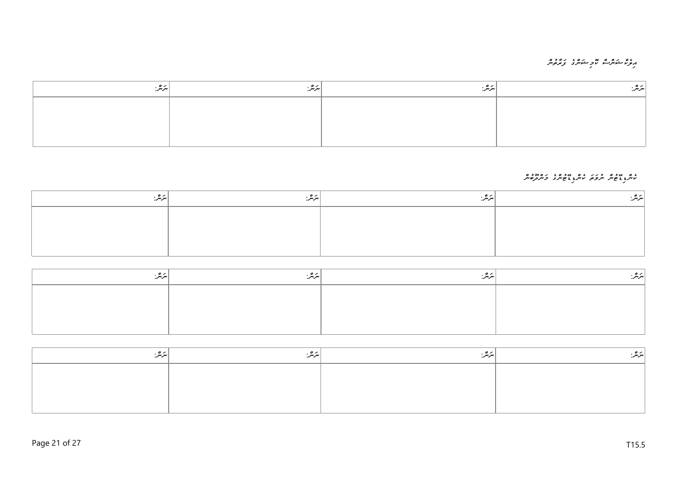## *w7qAn8m?sCw7mRo>u;wEw7mRw;sBo<*

| ' مرمر | 'يئرىثر: |
|--------|----------|
|        |          |
|        |          |
|        |          |

## *w7q9r@w7m>sCw7qHtFoFw7s;mAm=q7w7qHtFoFw7s;*

| يئرمىش: | $^{\circ}$<br>. سر سر<br>$\cdot$ | $\circ$ $\sim$<br>-- | يئرمثر |
|---------|----------------------------------|----------------------|--------|
|         |                                  |                      |        |
|         |                                  |                      |        |
|         |                                  |                      |        |

| انترنثر: | $^{\circ}$ | يبرهر | $^{\circ}$<br>سرسر |
|----------|------------|-------|--------------------|
|          |            |       |                    |
|          |            |       |                    |
|          |            |       |                    |

| ىرتىر: | 。<br>سر سر | .,<br>مرسر |
|--------|------------|------------|
|        |            |            |
|        |            |            |
|        |            |            |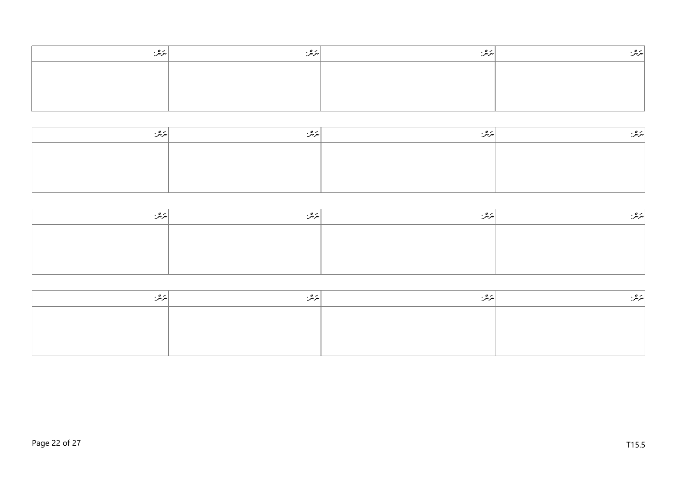| يره. | ο. | ا ير ه |  |
|------|----|--------|--|
|      |    |        |  |
|      |    |        |  |
|      |    |        |  |

| <sup>.</sup> سرسر. |  |
|--------------------|--|
|                    |  |
|                    |  |
|                    |  |

| ىئرىتر. | $\sim$ | ا بر هه. | لىرىش |
|---------|--------|----------|-------|
|         |        |          |       |
|         |        |          |       |
|         |        |          |       |

| 。<br>مرس. | $\overline{\phantom{a}}$<br>مر سر | يتريثر |
|-----------|-----------------------------------|--------|
|           |                                   |        |
|           |                                   |        |
|           |                                   |        |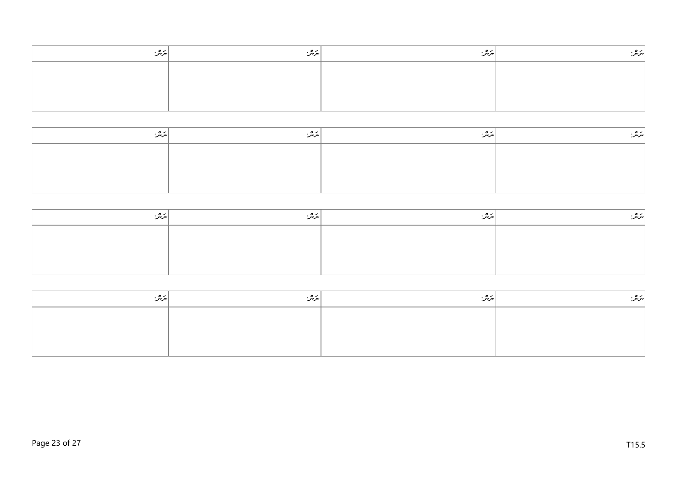| ير هو . | $\overline{\phantom{a}}$ | يرمر | اير هنه. |
|---------|--------------------------|------|----------|
|         |                          |      |          |
|         |                          |      |          |
|         |                          |      |          |

| ىر تىر: | $\circ$ $\sim$<br>" سرسر . | يترمير | o . |
|---------|----------------------------|--------|-----|
|         |                            |        |     |
|         |                            |        |     |
|         |                            |        |     |

| الترنثر: | ' مرتكز: | الترنثر: | .,<br>سرسر. |
|----------|----------|----------|-------------|
|          |          |          |             |
|          |          |          |             |
|          |          |          |             |

|  | . ه |
|--|-----|
|  |     |
|  |     |
|  |     |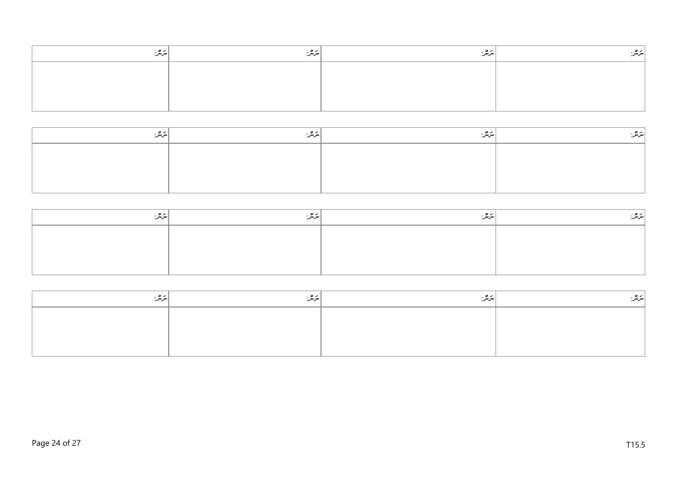| ير هو . | $\overline{\phantom{a}}$ | يرمر | اير هنه. |
|---------|--------------------------|------|----------|
|         |                          |      |          |
|         |                          |      |          |
|         |                          |      |          |

| ئىرتىر: | $\sim$<br>ا سرسر . | يئرمثر | o . |
|---------|--------------------|--------|-----|
|         |                    |        |     |
|         |                    |        |     |
|         |                    |        |     |

| الترنثر: | ' مرتكز: | الترنثر: | .,<br>سرسر. |
|----------|----------|----------|-------------|
|          |          |          |             |
|          |          |          |             |
|          |          |          |             |

|  | . ه |
|--|-----|
|  |     |
|  |     |
|  |     |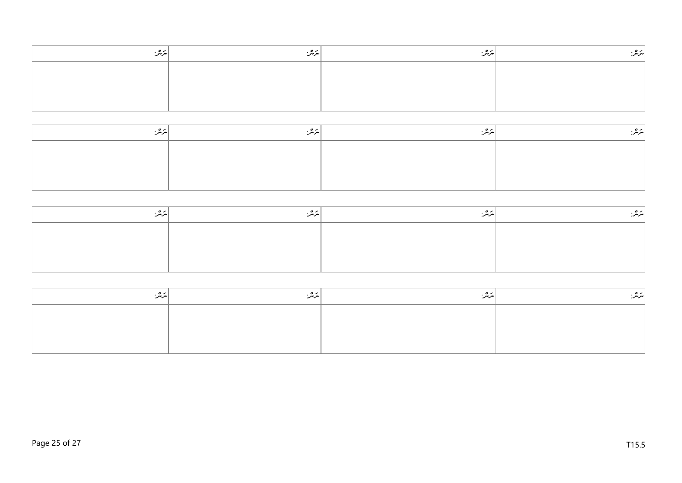| $\cdot$ | ο. | $\frac{\circ}{\cdot}$ | $\sim$<br>سرسر |
|---------|----|-----------------------|----------------|
|         |    |                       |                |
|         |    |                       |                |
|         |    |                       |                |

| ايرعر: | ر ه<br>. . |  |
|--------|------------|--|
|        |            |  |
|        |            |  |
|        |            |  |

| بر ه | 。 | $\sim$<br>َ سومس. |  |
|------|---|-------------------|--|
|      |   |                   |  |
|      |   |                   |  |
|      |   |                   |  |

| 。<br>. س | ىرىىر |  |
|----------|-------|--|
|          |       |  |
|          |       |  |
|          |       |  |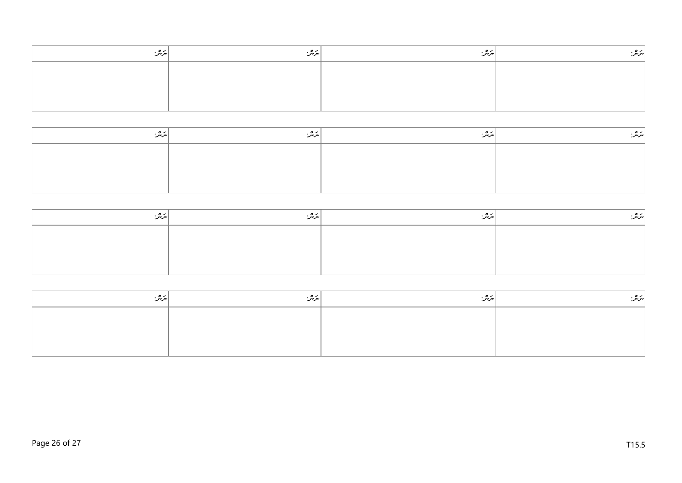| ير هو . | $\overline{\phantom{a}}$ | يرمر | لتزمثن |
|---------|--------------------------|------|--------|
|         |                          |      |        |
|         |                          |      |        |
|         |                          |      |        |

| ىر تىر: | $\circ$ $\sim$<br>" سرسر . | يترمير | o . |
|---------|----------------------------|--------|-----|
|         |                            |        |     |
|         |                            |        |     |
|         |                            |        |     |

| 'تترنثر: | 。<br>,,,, |  |
|----------|-----------|--|
|          |           |  |
|          |           |  |
|          |           |  |

|  | . ه |
|--|-----|
|  |     |
|  |     |
|  |     |